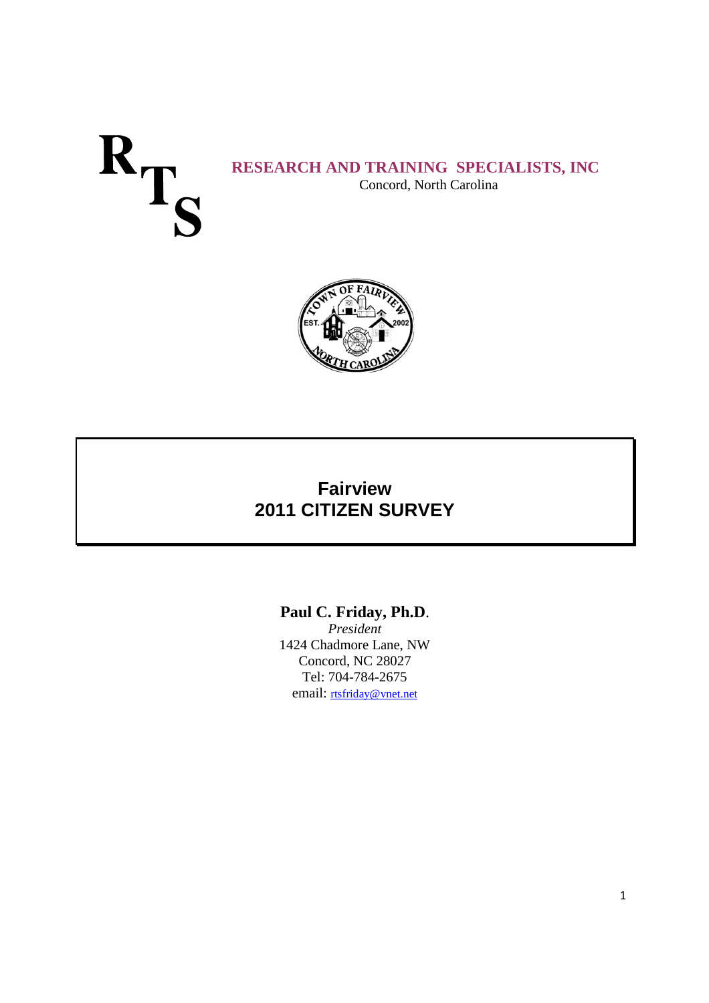# **RESEARCH AND TRAINING SPECIALISTS, INC** Concord, North Carolina



# **Fairview 2011 CITIZEN SURVEY**

**Paul C. Friday, Ph.D**.

*President* 1424 Chadmore Lane, NW Concord, NC 28027 Tel: 704-784-2675 email: rtsfriday@vnet.net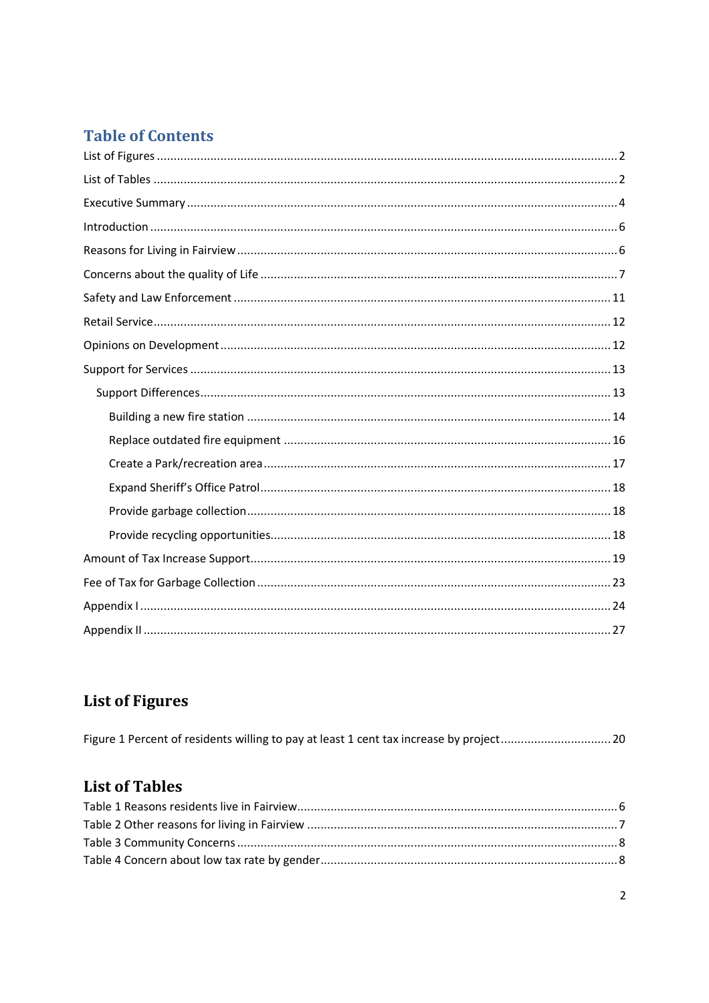# **Table of Contents**

# **List of Figures**

# **List of Tables**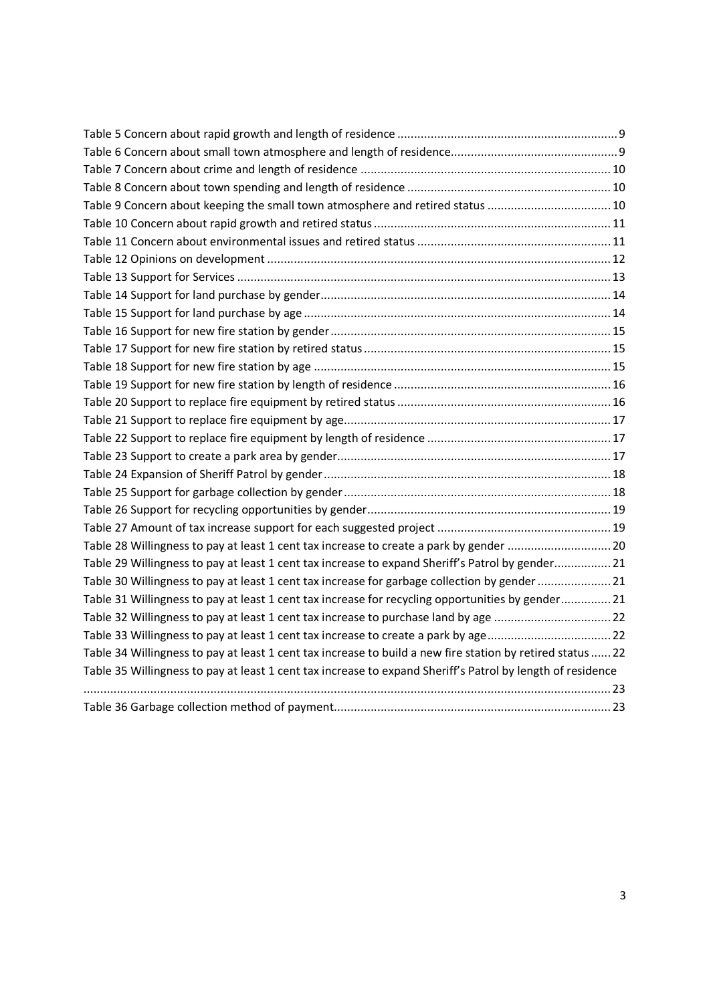| Table 9 Concern about keeping the small town atmosphere and retired status  10                             |
|------------------------------------------------------------------------------------------------------------|
|                                                                                                            |
|                                                                                                            |
|                                                                                                            |
|                                                                                                            |
|                                                                                                            |
|                                                                                                            |
|                                                                                                            |
|                                                                                                            |
|                                                                                                            |
|                                                                                                            |
|                                                                                                            |
|                                                                                                            |
|                                                                                                            |
|                                                                                                            |
|                                                                                                            |
|                                                                                                            |
|                                                                                                            |
|                                                                                                            |
| Table 28 Willingness to pay at least 1 cent tax increase to create a park by gender  20                    |
| Table 29 Willingness to pay at least 1 cent tax increase to expand Sheriff's Patrol by gender 21           |
| Table 30 Willingness to pay at least 1 cent tax increase for garbage collection by gender  21              |
| Table 31 Willingness to pay at least 1 cent tax increase for recycling opportunities by gender 21          |
| Table 32 Willingness to pay at least 1 cent tax increase to purchase land by age  22                       |
| Table 33 Willingness to pay at least 1 cent tax increase to create a park by age 22                        |
| Table 34 Willingness to pay at least 1 cent tax increase to build a new fire station by retired status  22 |
| Table 35 Willingness to pay at least 1 cent tax increase to expand Sheriff's Patrol by length of residence |
|                                                                                                            |
|                                                                                                            |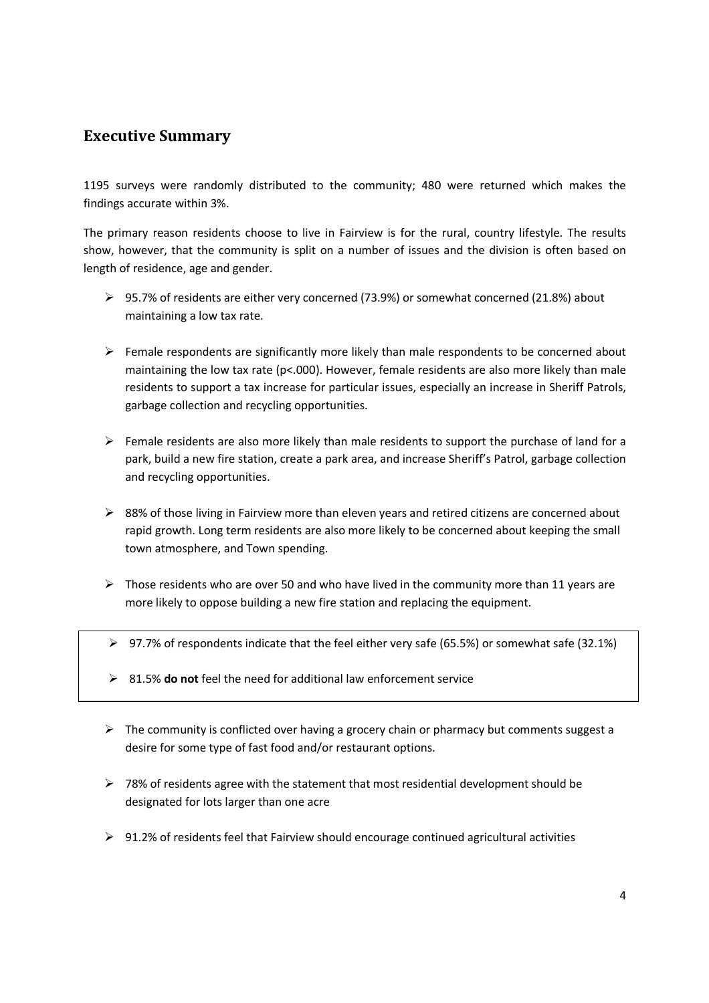## **Executive Summary**

1195 surveys were randomly distributed to the community; 480 were returned which makes the findings accurate within 3%.

The primary reason residents choose to live in Fairview is for the rural, country lifestyle. The results show, however, that the community is split on a number of issues and the division is often based on length of residence, age and gender.

- 95.7% of residents are either very concerned (73.9%) or somewhat concerned (21.8%) about maintaining a low tax rate.
- $\triangleright$  Female respondents are significantly more likely than male respondents to be concerned about maintaining the low tax rate (p<.000). However, female residents are also more likely than male residents to support a tax increase for particular issues, especially an increase in Sheriff Patrols, garbage collection and recycling opportunities.
- $\triangleright$  Female residents are also more likely than male residents to support the purchase of land for a park, build a new fire station, create a park area, and increase Sheriff's Patrol, garbage collection and recycling opportunities.
- $\triangleright$  88% of those living in Fairview more than eleven years and retired citizens are concerned about rapid growth. Long term residents are also more likely to be concerned about keeping the small town atmosphere, and Town spending.
- $\triangleright$  Those residents who are over 50 and who have lived in the community more than 11 years are more likely to oppose building a new fire station and replacing the equipment.
- $\triangleright$  97.7% of respondents indicate that the feel either very safe (65.5%) or somewhat safe (32.1%)
- 81.5% **do not** feel the need for additional law enforcement service
- $\triangleright$  The community is conflicted over having a grocery chain or pharmacy but comments suggest a desire for some type of fast food and/or restaurant options.
- $\triangleright$  78% of residents agree with the statement that most residential development should be designated for lots larger than one acre
- $\triangleright$  91.2% of residents feel that Fairview should encourage continued agricultural activities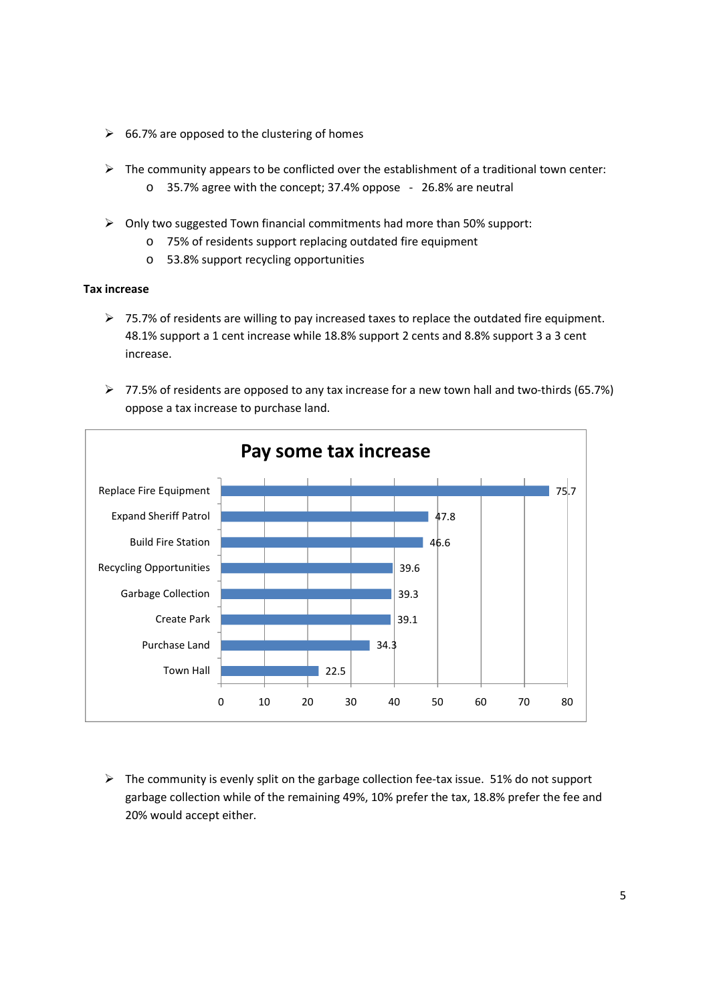- $\geq$  66.7% are opposed to the clustering of homes
- $\triangleright$  The community appears to be conflicted over the establishment of a traditional town center: o 35.7% agree with the concept; 37.4% oppose - 26.8% are neutral
- $\triangleright$  Only two suggested Town financial commitments had more than 50% support:
	- o 75% of residents support replacing outdated fire equipment
	- o 53.8% support recycling opportunities

#### **Tax increase**

- 75.7% of residents are willing to pay increased taxes to replace the outdated fire equipment. 48.1% support a 1 cent increase while 18.8% support 2 cents and 8.8% support 3 a 3 cent increase.
- $\triangleright$  77.5% of residents are opposed to any tax increase for a new town hall and two-thirds (65.7%) oppose a tax increase to purchase land.



 $\triangleright$  The community is evenly split on the garbage collection fee-tax issue. 51% do not support garbage collection while of the remaining 49%, 10% prefer the tax, 18.8% prefer the fee and 20% would accept either.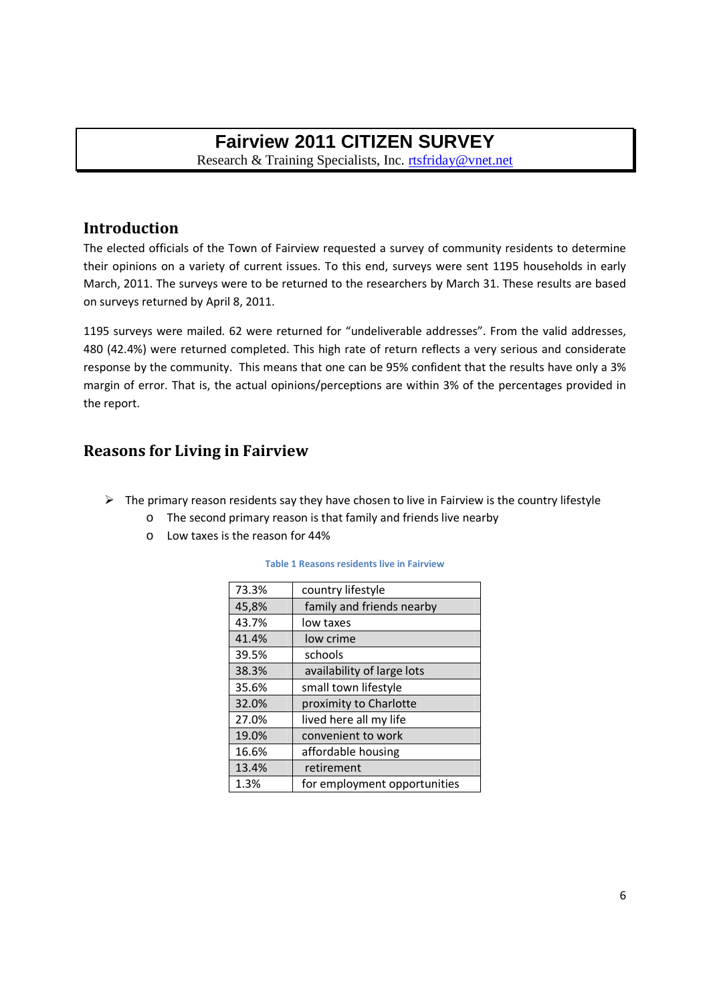# **Fairview 2011 CITIZEN SURVEY**

Research & Training Specialists, Inc. rtsfriday@vnet.net

### **Introduction**

The elected officials of the Town of Fairview requested a survey of community residents to determine their opinions on a variety of current issues. To this end, surveys were sent 1195 households in early March, 2011. The surveys were to be returned to the researchers by March 31. These results are based on surveys returned by April 8, 2011.

1195 surveys were mailed. 62 were returned for "undeliverable addresses". From the valid addresses, 480 (42.4%) were returned completed. This high rate of return reflects a very serious and considerate response by the community. This means that one can be 95% confident that the results have only a 3% margin of error. That is, the actual opinions/perceptions are within 3% of the percentages provided in the report.

## **Reasons for Living in Fairview**

- $\triangleright$  The primary reason residents say they have chosen to live in Fairview is the country lifestyle
	- o The second primary reason is that family and friends live nearby
		- o Low taxes is the reason for 44%

#### **Table 1 Reasons residents live in Fairview**

| 73.3% | country lifestyle            |
|-------|------------------------------|
| 45,8% | family and friends nearby    |
| 43.7% | low taxes                    |
| 41.4% | low crime                    |
| 39.5% | schools                      |
| 38.3% | availability of large lots   |
| 35.6% | small town lifestyle         |
| 32.0% | proximity to Charlotte       |
| 27.0% | lived here all my life       |
| 19.0% | convenient to work           |
| 16.6% | affordable housing           |
| 13.4% | retirement                   |
| 1.3%  | for employment opportunities |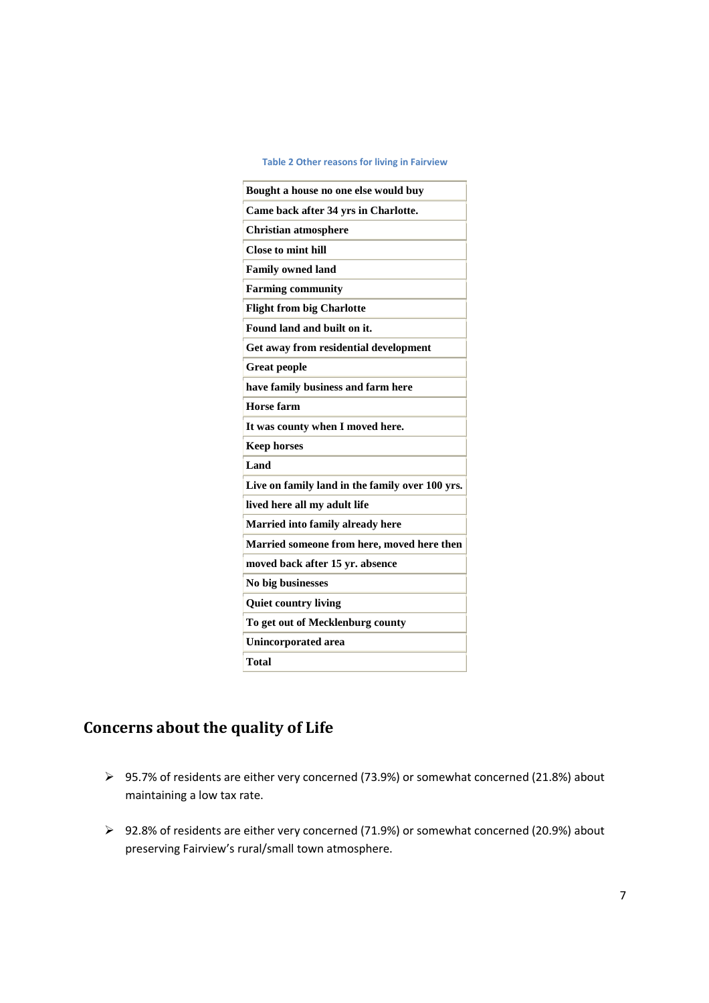#### **Table 2 Other reasons for living in Fairview**

| Bought a house no one else would buy            |
|-------------------------------------------------|
|                                                 |
| Came back after 34 yrs in Charlotte.            |
| <b>Christian atmosphere</b>                     |
| <b>Close to mint hill</b>                       |
| <b>Family owned land</b>                        |
| <b>Farming community</b>                        |
| <b>Flight from big Charlotte</b>                |
| Found land and built on it.                     |
| Get away from residential development           |
| <b>Great people</b>                             |
| have family business and farm here              |
| <b>Horse farm</b>                               |
| It was county when I moved here.                |
| <b>Keep horses</b>                              |
| Land                                            |
| Live on family land in the family over 100 yrs. |
| lived here all my adult life                    |
| Married into family already here                |
| Married someone from here, moved here then      |
| moved back after 15 yr. absence                 |
| No big businesses                               |
| <b>Quiet country living</b>                     |
| To get out of Mecklenburg county                |
|                                                 |
| <b>Unincorporated area</b>                      |

# **Concerns about the quality of Life**

- 95.7% of residents are either very concerned (73.9%) or somewhat concerned (21.8%) about maintaining a low tax rate.
- 92.8% of residents are either very concerned (71.9%) or somewhat concerned (20.9%) about preserving Fairview's rural/small town atmosphere.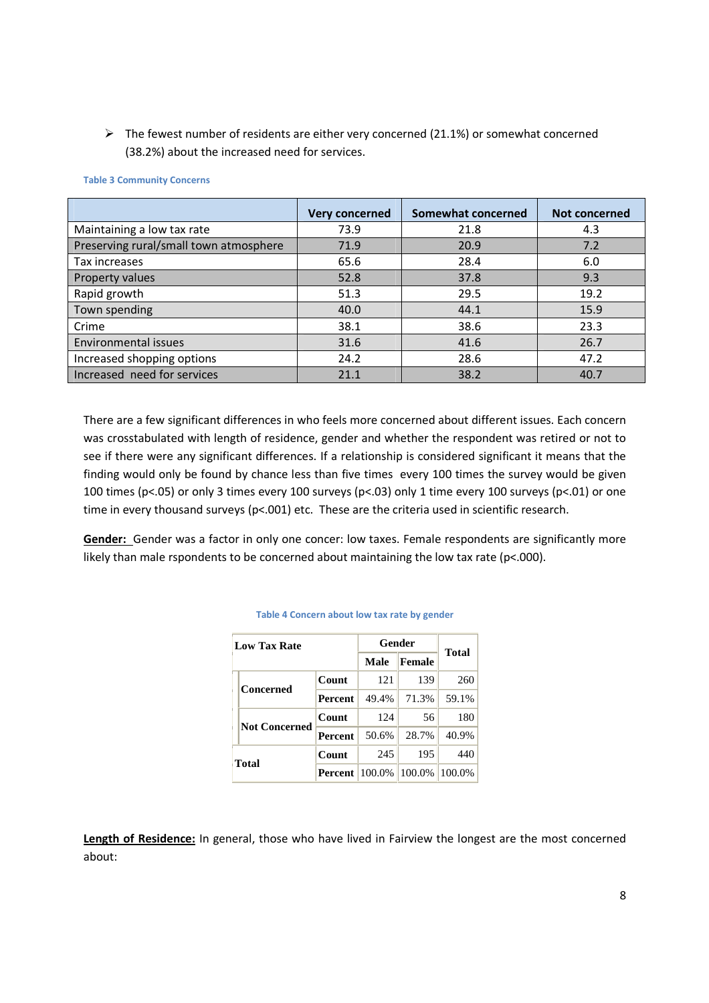$\triangleright$  The fewest number of residents are either very concerned (21.1%) or somewhat concerned (38.2%) about the increased need for services.

|                                        | <b>Very concerned</b> | <b>Somewhat concerned</b> | <b>Not concerned</b> |
|----------------------------------------|-----------------------|---------------------------|----------------------|
| Maintaining a low tax rate             | 73.9                  | 21.8                      | 4.3                  |
| Preserving rural/small town atmosphere | 71.9                  | 20.9                      | 7.2                  |
| Tax increases                          | 65.6                  | 28.4                      | 6.0                  |
| Property values                        | 52.8                  | 37.8                      | 9.3                  |
| Rapid growth                           | 51.3                  | 29.5                      | 19.2                 |
| Town spending                          | 40.0                  | 44.1                      | 15.9                 |
| Crime                                  | 38.1                  | 38.6                      | 23.3                 |
| Environmental issues                   | 31.6                  | 41.6                      | 26.7                 |
| Increased shopping options             | 24.2                  | 28.6                      | 47.2                 |
| Increased need for services            | 21.1                  | 38.2                      | 40.7                 |

#### **Table 3 Community Concerns**

There are a few significant differences in who feels more concerned about different issues. Each concern was crosstabulated with length of residence, gender and whether the respondent was retired or not to see if there were any significant differences. If a relationship is considered significant it means that the finding would only be found by chance less than five times every 100 times the survey would be given 100 times (p<.05) or only 3 times every 100 surveys (p<.03) only 1 time every 100 surveys (p<.01) or one time in every thousand surveys (p<.001) etc. These are the criteria used in scientific research.

**Gender:** Gender was a factor in only one concer: low taxes. Female respondents are significantly more likely than male rspondents to be concerned about maintaining the low tax rate ( $p<000$ ).

| <b>Low Tax Rate</b>  |                              | Gender   |        |              |
|----------------------|------------------------------|----------|--------|--------------|
|                      |                              | Male     | Female | <b>Total</b> |
| <b>Concerned</b>     | Count                        | 121      | 139    | 260          |
|                      | <b>Percent</b>               | $49.4\%$ | 71.3%  | 59.1%        |
|                      | Count                        | 124      | 56     | 180          |
| <b>Not Concerned</b> | Percent                      | 50.6%    | 28.7%  | 40.9%        |
|                      | Count                        | 245      | 195    | 440          |
| <b>Total</b>         | <b>Percent</b> 100.0% 100.0% |          |        | 100.0%       |

#### **Table 4 Concern about low tax rate by gender**

**Length of Residence:** In general, those who have lived in Fairview the longest are the most concerned about: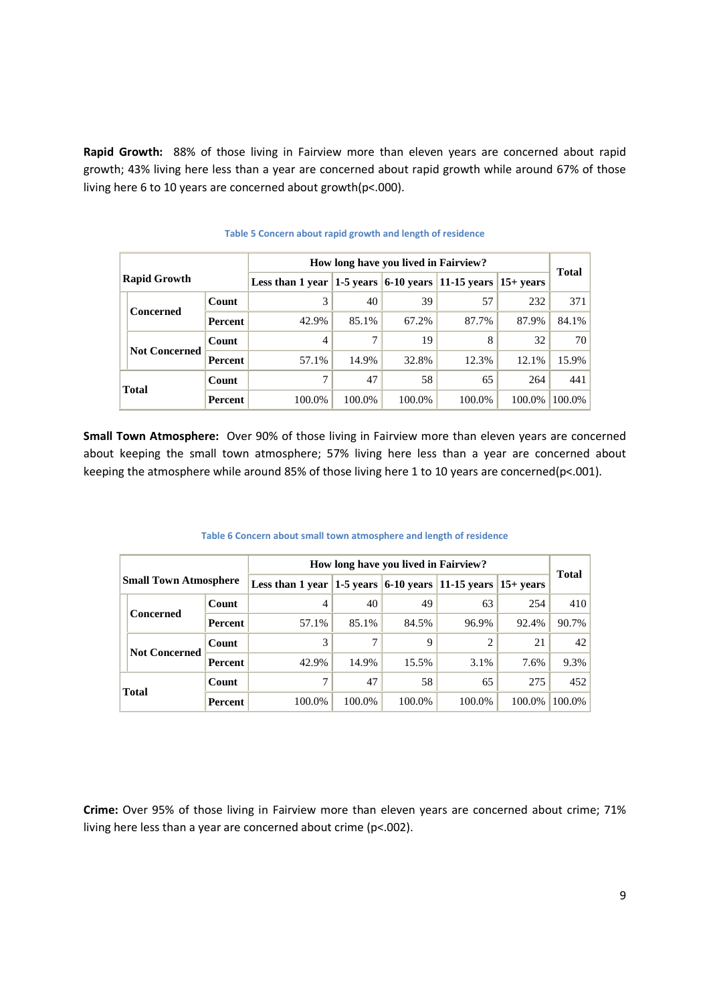**Rapid Growth:** 88% of those living in Fairview more than eleven years are concerned about rapid growth; 43% living here less than a year are concerned about rapid growth while around 67% of those living here 6 to 10 years are concerned about growth(p<.000).

|                     |                      | How long have you lived in Fairview?                                    |        |        |        |        |              |        |
|---------------------|----------------------|-------------------------------------------------------------------------|--------|--------|--------|--------|--------------|--------|
| <b>Rapid Growth</b> |                      | Less than 1 year $ 1-5$ years $ 6-10$ years $ 11-15$ years $ 15+$ years |        |        |        |        | <b>Total</b> |        |
|                     | Concerned            | Count                                                                   | 3      | 40     | 39     | 57     | 232          | 371    |
|                     |                      | <b>Percent</b>                                                          | 42.9%  | 85.1%  | 67.2%  | 87.7%  | 87.9%        | 84.1%  |
|                     | <b>Not Concerned</b> | Count                                                                   | 4      | 7      | 19     | 8      | 32           | 70     |
|                     |                      | Percent                                                                 | 57.1%  | 14.9%  | 32.8%  | 12.3%  | 12.1%        | 15.9%  |
| <b>Total</b>        |                      | Count                                                                   | 7      | 47     | 58     | 65     | 264          | 441    |
|                     |                      | Percent                                                                 | 100.0% | 100.0% | 100.0% | 100.0% | 100.0%       | 100.0% |

#### **Table 5 Concern about rapid growth and length of residence**

**Small Town Atmosphere:** Over 90% of those living in Fairview more than eleven years are concerned about keeping the small town atmosphere; 57% living here less than a year are concerned about keeping the atmosphere while around 85% of those living here 1 to 10 years are concerned(p<.001).

|                              |                      |         | How long have you lived in Fairview?                           |        |        |        |             |              |
|------------------------------|----------------------|---------|----------------------------------------------------------------|--------|--------|--------|-------------|--------------|
| <b>Small Town Atmosphere</b> |                      |         | Less than 1 year $ 1-5$ years $ 6-10$ years $ 11-15$ years $ $ |        |        |        | $15+$ vears | <b>Total</b> |
|                              | Concerned            | Count   | 4                                                              | 40     | 49     | 63     | 254         | 410          |
|                              |                      | Percent | 57.1%                                                          | 85.1%  | 84.5%  | 96.9%  | 92.4%       | 90.7%        |
|                              | <b>Not Concerned</b> | Count   | 3                                                              |        | 9      |        | 21          | 42           |
|                              |                      | Percent | 42.9%                                                          | 14.9%  | 15.5%  | 3.1%   | 7.6%        | 9.3%         |
| <b>Total</b>                 |                      | Count   | 7                                                              | 47     | 58     | 65     | 275         | 452          |
|                              |                      | Percent | 100.0%                                                         | 100.0% | 100.0% | 100.0% | 100.0%      | 100.0%       |

#### **Table 6 Concern about small town atmosphere and length of residence**

**Crime:** Over 95% of those living in Fairview more than eleven years are concerned about crime; 71% living here less than a year are concerned about crime (p<.002).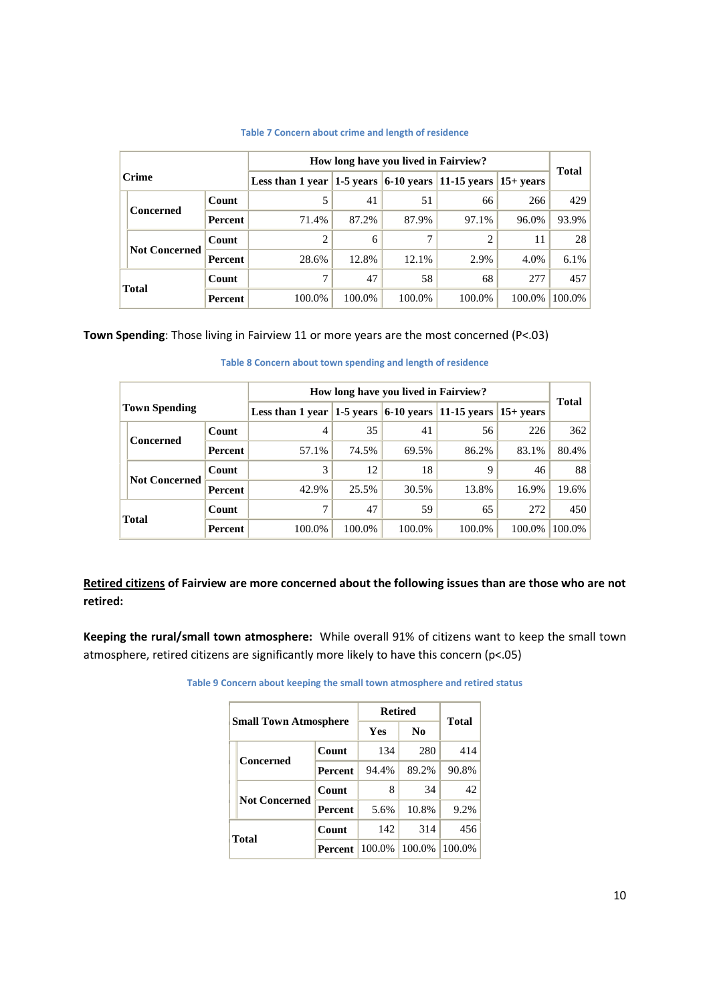|              |                      | How long have you lived in Fairview?                                    |        |        |        |        |        |           |
|--------------|----------------------|-------------------------------------------------------------------------|--------|--------|--------|--------|--------|-----------|
| <b>Crime</b> |                      | Less than 1 year $ 1-5$ years $ 6-10$ years $ 11-15$ years $ 15+$ years |        |        |        |        | Total  |           |
|              | <b>Concerned</b>     | Count                                                                   |        | 41     | 51     | 66     | 266    | 429       |
|              |                      | Percent                                                                 | 71.4%  | 87.2%  | 87.9%  | 97.1%  | 96.0%  | 93.9%     |
|              | <b>Not Concerned</b> | Count                                                                   | 2      | 6      |        |        | 11     | 28        |
|              |                      | Percent                                                                 | 28.6%  | 12.8%  | 12.1%  | 2.9%   | 4.0%   | $6.1\%$   |
|              |                      | Count                                                                   | 7      | 47     | 58     | 68     | 277    | 457       |
|              | <b>Total</b>         | Percent                                                                 | 100.0% | 100.0% | 100.0% | 100.0% | 100.0% | $100.0\%$ |

#### **Table 7 Concern about crime and length of residence**

**Town Spending**: Those living in Fairview 11 or more years are the most concerned (P<.03)

|                      |                      | How long have you lived in Fairview?                                    |        |        |        |        |              |        |
|----------------------|----------------------|-------------------------------------------------------------------------|--------|--------|--------|--------|--------------|--------|
| <b>Town Spending</b> |                      | Less than 1 year $ 1-5$ years $ 6-10$ years $ 11-15$ years $ 15+$ years |        |        |        |        | <b>Total</b> |        |
|                      |                      | Count                                                                   | 4      | 35     | 41     | 56     | 226          | 362    |
|                      | <b>Concerned</b>     | Percent                                                                 | 57.1%  | 74.5%  | 69.5%  | 86.2%  | 83.1%        | 80.4%  |
|                      | <b>Not Concerned</b> | Count                                                                   | 3      | 12     | 18     |        | 46           | 88     |
|                      |                      | Percent                                                                 | 42.9%  | 25.5%  | 30.5%  | 13.8%  | 16.9%        | 19.6%  |
|                      |                      | Count                                                                   |        | 47     | 59     | 65     | 272          | 450    |
|                      | <b>Total</b>         | Percent                                                                 | 100.0% | 100.0% | 100.0% | 100.0% | 100.0%       | 100.0% |

#### **Table 8 Concern about town spending and length of residence**

**Retired citizens of Fairview are more concerned about the following issues than are those who are not retired:**

**Keeping the rural/small town atmosphere:** While overall 91% of citizens want to keep the small town atmosphere, retired citizens are significantly more likely to have this concern (p<.05)

| Table 9 Concern about keeping the small town atmosphere and retired status |  |  |  |
|----------------------------------------------------------------------------|--|--|--|
|----------------------------------------------------------------------------|--|--|--|

| <b>Small Town Atmosphere</b> |                | <b>Retired</b> | <b>Total</b> |        |
|------------------------------|----------------|----------------|--------------|--------|
|                              |                | Yes            | No           |        |
| Concerned                    | Count          | 134            | 280          | 414    |
|                              | <b>Percent</b> | 94.4%          | 89.2%        | 90.8%  |
| <b>Not Concerned</b>         | Count          | 8              | 34           | 42     |
|                              | <b>Percent</b> | 5.6%           | 10.8%        | 9.2%   |
|                              | Count          | 142            | 314          | 456    |
| Total                        | Percent        | 100.0%         | 100.0%       | 100.0% |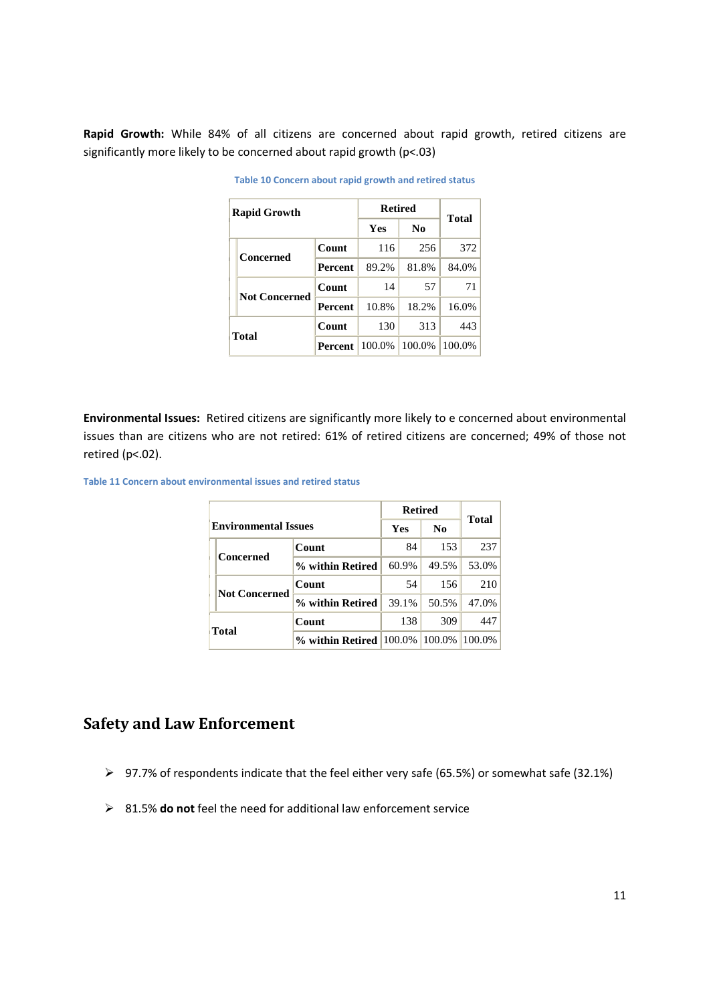**Rapid Growth:** While 84% of all citizens are concerned about rapid growth, retired citizens are significantly more likely to be concerned about rapid growth (p<.03)

| <b>Rapid Growth</b> |                      | <b>Retired</b> | <b>Total</b> |        |        |
|---------------------|----------------------|----------------|--------------|--------|--------|
|                     |                      |                | Yes          | No.    |        |
|                     | Concerned            | Count          | 116          | 256    | 372    |
|                     |                      | Percent        | 89.2%        | 81.8%  | 84.0%  |
|                     | <b>Not Concerned</b> | Count          | 14           | 57     | 71     |
|                     |                      | <b>Percent</b> | 10.8%        | 18.2%  | 16.0%  |
|                     |                      | Count          | 130          | 313    | 443    |
|                     | <b>Total</b>         | Percent        | 100.0%       | 100.0% | 100.0% |

**Table 10 Concern about rapid growth and retired status**

**Environmental Issues:** Retired citizens are significantly more likely to e concerned about environmental issues than are citizens who are not retired: 61% of retired citizens are concerned; 49% of those not retired (p<.02).

**Table 11 Concern about environmental issues and retired status**

|                             |                                      | <b>Retired</b> | <b>Total</b>   |        |
|-----------------------------|--------------------------------------|----------------|----------------|--------|
| <b>Environmental Issues</b> |                                      | Yes            | N <sub>0</sub> |        |
| Concerned                   | Count                                | 84             | 153            | 237    |
|                             | % within Retired                     | 60.9%          | 49.5%          | 53.0%  |
| <b>Not Concerned</b>        | Count                                | 54             | 156            | 210    |
|                             | % within Retired                     | 39.1%          | 50.5%          | 47.0%  |
|                             | Count                                | 138            | 309            | 447    |
| <b>Total</b>                | % within Retired $ 100.0\% 100.0\% $ |                |                | 100.0% |

## **Safety and Law Enforcement**

- 97.7% of respondents indicate that the feel either very safe (65.5%) or somewhat safe (32.1%)
- 81.5% **do not** feel the need for additional law enforcement service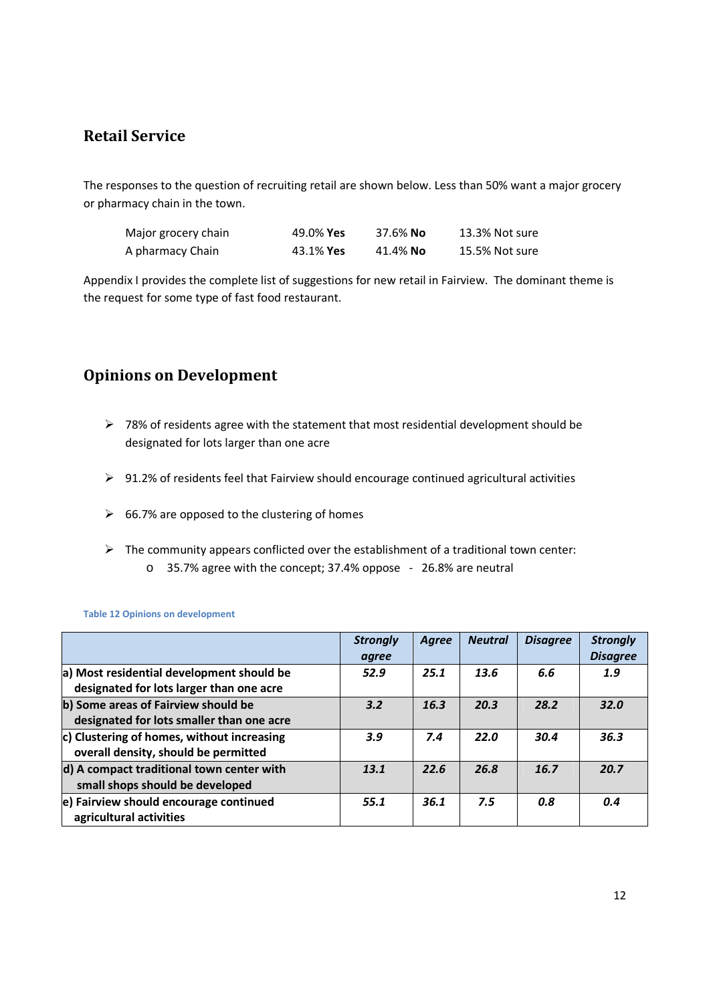## **Retail Service**

The responses to the question of recruiting retail are shown below. Less than 50% want a major grocery or pharmacy chain in the town.

| Major grocery chain | 49.0% Yes        | 37.6% No | 13.3% Not sure |
|---------------------|------------------|----------|----------------|
| A pharmacy Chain    | 43.1% <b>Yes</b> | 41.4% No | 15.5% Not sure |

Appendix I provides the complete list of suggestions for new retail in Fairview. The dominant theme is the request for some type of fast food restaurant.

## **Opinions on Development**

- $\geq$  78% of residents agree with the statement that most residential development should be designated for lots larger than one acre
- 91.2% of residents feel that Fairview should encourage continued agricultural activities
- $\geq$  66.7% are opposed to the clustering of homes
- $\triangleright$  The community appears conflicted over the establishment of a traditional town center:
	- o 35.7% agree with the concept; 37.4% oppose 26.8% are neutral

|                                                                                       | <b>Strongly</b><br>agree | <b>Agree</b> | <b>Neutral</b> | <b>Disagree</b> | <b>Strongly</b><br><b>Disagree</b> |
|---------------------------------------------------------------------------------------|--------------------------|--------------|----------------|-----------------|------------------------------------|
| a) Most residential development should be<br>designated for lots larger than one acre | 52.9                     | 25.1         | 13.6           | 6.6             | 1.9                                |
| b) Some areas of Fairview should be<br>designated for lots smaller than one acre      | 3.2                      | 16.3         | 20.3           | 28.2            | 32.0                               |
| c) Clustering of homes, without increasing<br>overall density, should be permitted    | 3.9                      | 7.4          | 22.0           | 30.4            | 36.3                               |
| d) A compact traditional town center with<br>small shops should be developed          | 13.1                     | 22.6         | 26.8           | 16.7            | 20.7                               |
| e) Fairview should encourage continued<br>agricultural activities                     | 55.1                     | 36.1         | 7.5            | 0.8             | 0.4                                |

**Table 12 Opinions on development**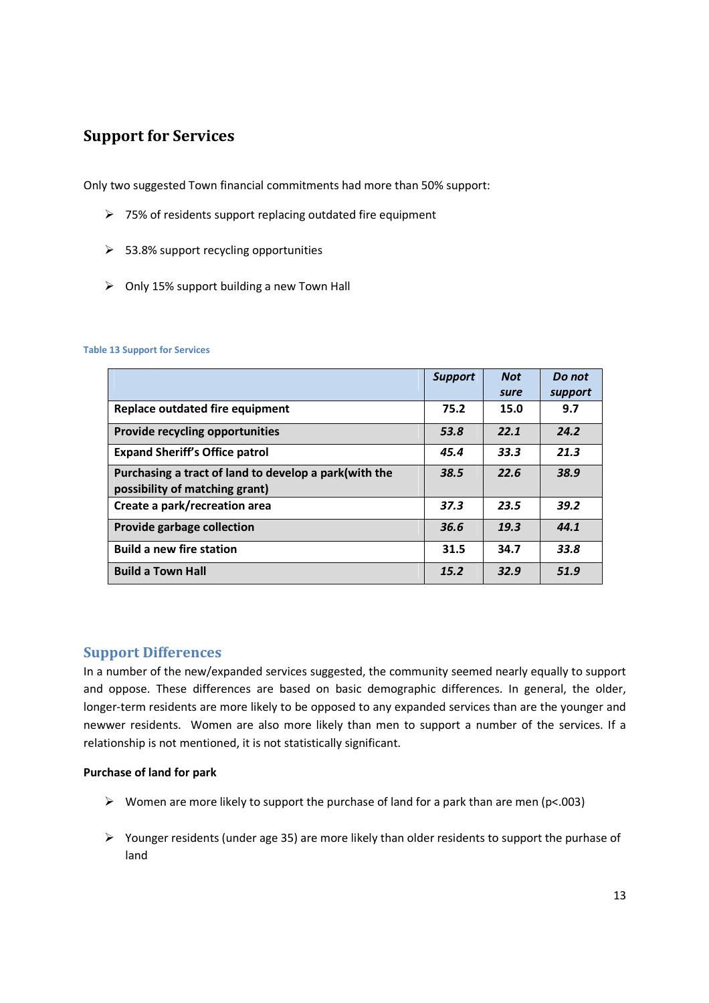## **Support for Services**

Only two suggested Town financial commitments had more than 50% support:

- $\triangleright$  75% of residents support replacing outdated fire equipment
- $>$  53.8% support recycling opportunities
- $\triangleright$  Only 15% support building a new Town Hall

#### **Table 13 Support for Services**

|                                                                                          | <b>Support</b> | <b>Not</b> | Do not  |
|------------------------------------------------------------------------------------------|----------------|------------|---------|
|                                                                                          |                | sure       | support |
| Replace outdated fire equipment                                                          | 75.2           | 15.0       | 9.7     |
| Provide recycling opportunities                                                          | 53.8           | 22.1       | 24.2    |
| <b>Expand Sheriff's Office patrol</b>                                                    | 45.4           | 33.3       | 21.3    |
| Purchasing a tract of land to develop a park (with the<br>possibility of matching grant) | 38.5           | 22.6       | 38.9    |
| Create a park/recreation area                                                            | 37.3           | 23.5       | 39.2    |
| Provide garbage collection                                                               | 36.6           | 19.3       | 44.1    |
| <b>Build a new fire station</b>                                                          | 31.5           | 34.7       | 33.8    |
| <b>Build a Town Hall</b>                                                                 | 15.2           | 32.9       | 51.9    |

#### **Support Differences**

In a number of the new/expanded services suggested, the community seemed nearly equally to support and oppose. These differences are based on basic demographic differences. In general, the older, longer-term residents are more likely to be opposed to any expanded services than are the younger and newwer residents. Women are also more likely than men to support a number of the services. If a relationship is not mentioned, it is not statistically significant.

#### **Purchase of land for park**

- $\triangleright$  Women are more likely to support the purchase of land for a park than are men (p<.003)
- $\triangleright$  Younger residents (under age 35) are more likely than older residents to support the purhase of land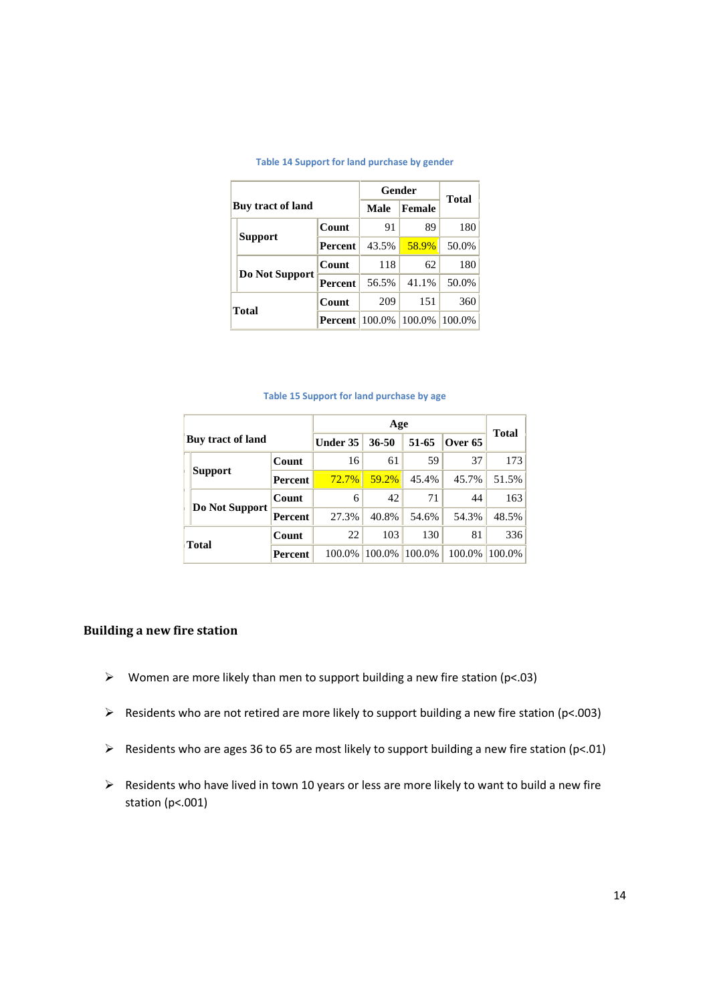|                          | Gender         | Total  |        |        |
|--------------------------|----------------|--------|--------|--------|
| <b>Buy tract of land</b> |                | Male   | Female |        |
| <b>Support</b>           | <b>Count</b>   | 91     | 89     | 180    |
|                          | <b>Percent</b> | 43.5%  | 58.9%  | 50.0%  |
|                          | Count          | 118    | 62     | 180    |
| Do Not Support           | <b>Percent</b> | 56.5%  | 41.1%  | 50.0%  |
| <b>Total</b>             | Count          | 209    | 151    | 360    |
|                          | <b>Percent</b> | 100.0% | 100.0% | 100.0% |

#### **Table 14 Support for land purchase by gender**

#### **Table 15 Support for land purchase by age**

|              |                   |                | Age             |        |        |         | Total  |
|--------------|-------------------|----------------|-----------------|--------|--------|---------|--------|
|              | Buy tract of land |                | <b>Under 35</b> | 36-50  | 51-65  | Over 65 |        |
|              |                   | Count          | 16              | 61     | 59     | 37      | 173    |
|              | <b>Support</b>    | <b>Percent</b> | $72.7\%$        | 59.2%  | 45.4%  | 45.7%   | 51.5%  |
| <b>Total</b> | Do Not Support    | Count          | 6               | 42     | 71     | 44      | 163    |
|              |                   | Percent        | 27.3%           | 40.8%  | 54.6%  | 54.3%   | 48.5%  |
|              |                   | Count          | 22              | 103    | 130    | 81      | 336    |
|              |                   | Percent        | 100.0%          | 100.0% | 100.0% | 100.0%  | 100.0% |

#### **Building a new fire station**

- $\triangleright$  Women are more likely than men to support building a new fire station (p<.03)
- $\triangleright$  Residents who are not retired are more likely to support building a new fire station (p<.003)
- $\triangleright$  Residents who are ages 36 to 65 are most likely to support building a new fire station (p<.01)
- $\triangleright$  Residents who have lived in town 10 years or less are more likely to want to build a new fire station (p<.001)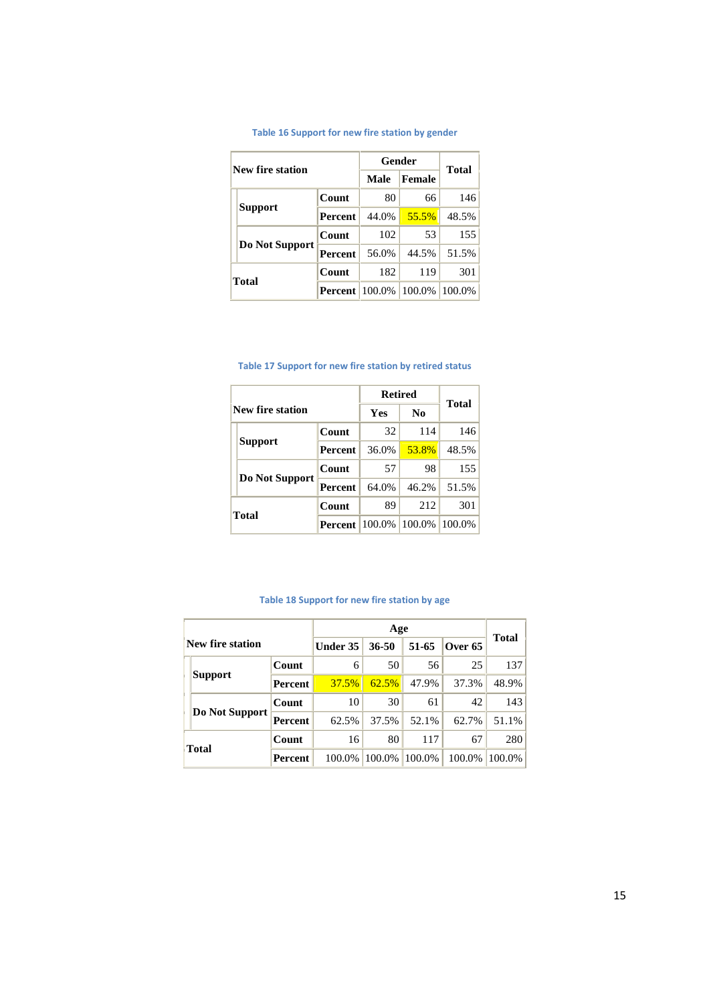| New fire station |                | Gender         | <b>Total</b> |        |        |
|------------------|----------------|----------------|--------------|--------|--------|
|                  |                |                | Male         | Female |        |
|                  |                | Count          | 80           | 66     | 146    |
|                  | <b>Support</b> | <b>Percent</b> | 44.0%        | 55.5%  | 48.5%  |
|                  | Do Not Support | Count          | 102          | 53     | 155    |
|                  |                | <b>Percent</b> | 56.0%        | 44.5%  | 51.5%  |
|                  | <b>Total</b>   | Count          | 182          | 119    | 301    |
|                  |                | <b>Percent</b> | 100.0%       | 100.0% | 100.0% |

#### **Table 16 Support for new fire station by gender**

| Table 17 Support for new fire station by retired status |  |  |  |  |  |
|---------------------------------------------------------|--|--|--|--|--|
|---------------------------------------------------------|--|--|--|--|--|

|  |                  |                | <b>Retired</b> | Total          |        |
|--|------------------|----------------|----------------|----------------|--------|
|  | New fire station |                | <b>Yes</b>     | N <sub>0</sub> |        |
|  |                  | Count          | 32             | 114            | 146    |
|  | <b>Support</b>   | <b>Percent</b> | 36.0%          | 53.8%          | 48.5%  |
|  | Do Not Support   | Count          | 57             | 98             | 155    |
|  |                  | Percent        | 64.0%          | 46.2%          | 51.5%  |
|  | <b>Total</b>     | Count          | 89             | 212            | 301    |
|  |                  | Percent        | 100.0%         | 100.0%         | 100.0% |

#### **Table 18 Support for new fire station by age**

|              | <b>New fire station</b> |         | <b>Under 35</b> | $36 - 50$ | 51-65  | Over 65 |                           |
|--------------|-------------------------|---------|-----------------|-----------|--------|---------|---------------------------|
|              |                         | Count   | 6               | 50        | 56     | 25      | 137 <sup>1</sup><br>48.9% |
|              | <b>Support</b>          | Percent | 37.5%           | 62.5%     | 47.9%  | 37.3%   |                           |
|              |                         | Count   | 10              | 30        | 61     | 42      | Total<br>143              |
|              | Do Not Support          | Percent | 62.5%           | 37.5%     | 52.1%  | 62.7%   | 51.1%                     |
| <b>Total</b> |                         | Count   | 16              | 80        | 117    | 67      | 280                       |
|              |                         | Percent | 100.0%          | 100.0%    | 100.0% | 100.0%  | 100.0%                    |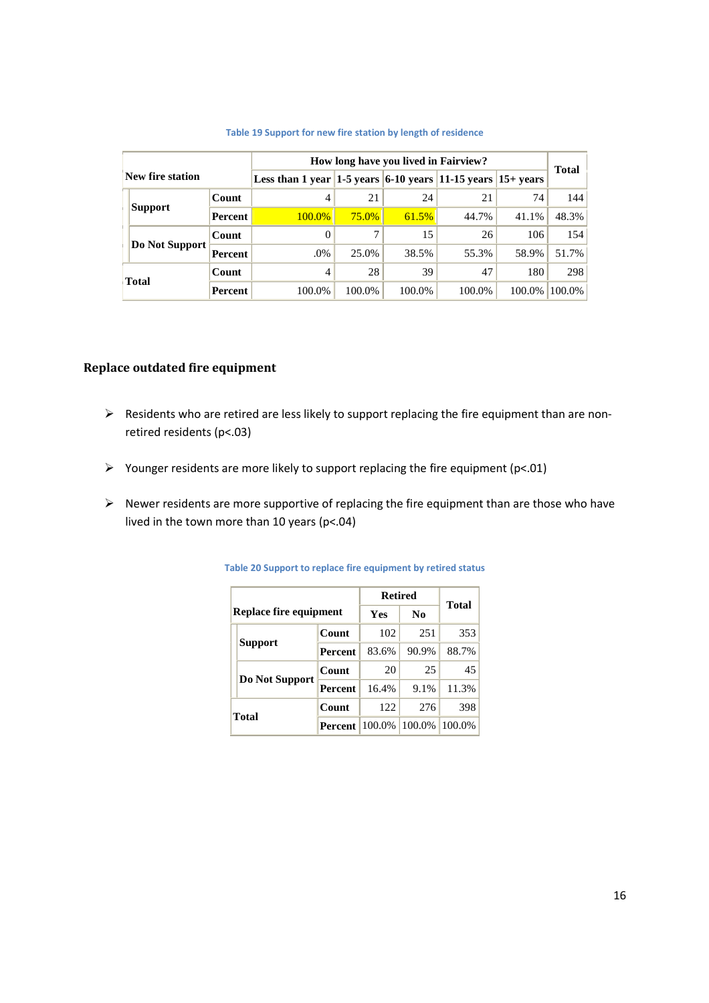|                  |                |                |                                                                                     |          | How long have you lived in Fairview? |        |                                                                                                                          |  |
|------------------|----------------|----------------|-------------------------------------------------------------------------------------|----------|--------------------------------------|--------|--------------------------------------------------------------------------------------------------------------------------|--|
| New fire station |                |                | Less than 1 year $ 1-5 \text{ years} $ 6-10 years $ 11-15 \text{ years} $ 15+ years |          |                                      |        | Total<br>144<br>21<br>74<br>48.3%<br>41.1%<br>154<br>26<br>106<br>51.7%<br>58.9%<br>298<br>47<br>180<br>100.0%<br>100.0% |  |
|                  |                | Count          | 4                                                                                   | 21       | 24                                   |        |                                                                                                                          |  |
|                  | Support        | <b>Percent</b> | $100.0\%$                                                                           | $75.0\%$ | 61.5%                                | 44.7%  |                                                                                                                          |  |
|                  |                | Count          |                                                                                     |          | 15                                   |        |                                                                                                                          |  |
|                  | Do Not Support | Percent        | .0%                                                                                 | 25.0%    | 38.5%                                | 55.3%  |                                                                                                                          |  |
|                  |                | Count          | 4                                                                                   | 28       | 39                                   |        |                                                                                                                          |  |
|                  | <b>Total</b>   | Percent        | 100.0%                                                                              | 100.0%   | 100.0%                               | 100.0% |                                                                                                                          |  |

#### **Table 19 Support for new fire station by length of residence**

#### **Replace outdated fire equipment**

- $\triangleright$  Residents who are retired are less likely to support replacing the fire equipment than are nonretired residents (p<.03)
- $\triangleright$  Younger residents are more likely to support replacing the fire equipment (p<.01)
- $\triangleright$  Newer residents are more supportive of replacing the fire equipment than are those who have lived in the town more than 10 years (p<.04)

|              |                        |                | <b>Retired</b> |                | <b>Total</b> |
|--------------|------------------------|----------------|----------------|----------------|--------------|
|              | Replace fire equipment |                | Yes            | N <sub>0</sub> |              |
|              |                        | Count          | 102            | 251            | 353          |
|              | <b>Support</b>         | Percent        | 83.6%          | 90.9%          | 88.7%        |
|              |                        | Count          | 20             | 25             | 45           |
|              | Do Not Support         | <b>Percent</b> | 16.4%          | 9.1%           | 11.3%        |
| <b>Total</b> |                        | Count          | 122            | 276            | 398          |
|              |                        | Percent        | 100.0%         | 100.0%         | 100.0%       |

#### **Table 20 Support to replace fire equipment by retired status**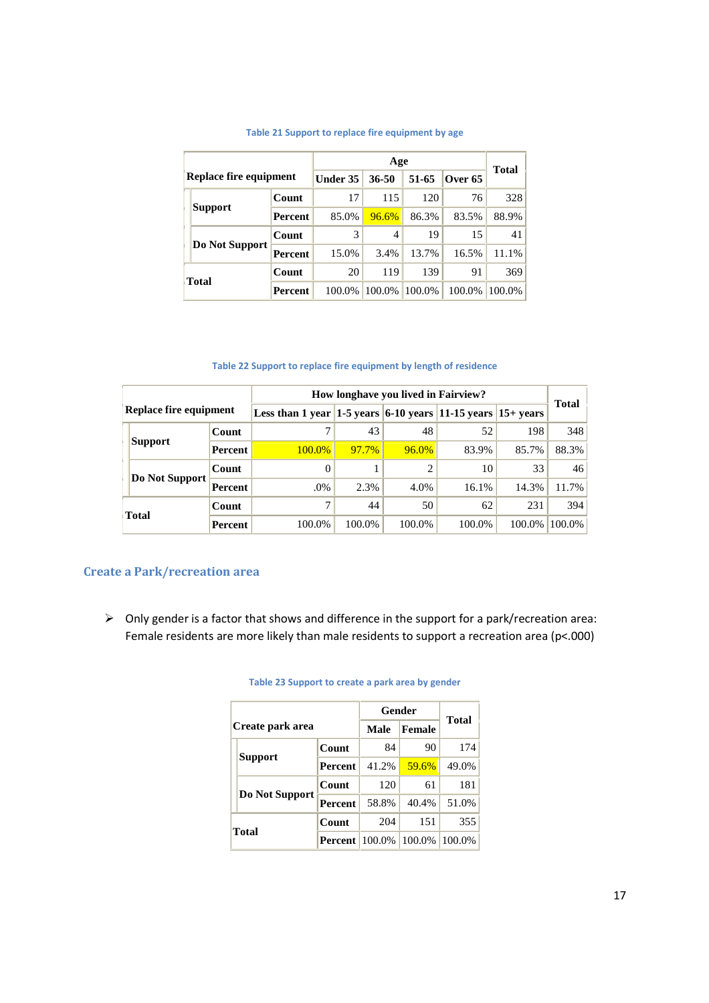|       | Replace fire equipment |                | Under 35 | 36-50  | 51-65  | Over 65 |                                              |
|-------|------------------------|----------------|----------|--------|--------|---------|----------------------------------------------|
|       |                        | Count          | 17       | 115    | 120    | 76      | 328                                          |
|       | <b>Support</b>         | <b>Percent</b> | 85.0%    | 96.6%  | 86.3%  | 83.5%   | 88.9%                                        |
|       |                        | Count          | 3        | 4      | 19     | 15      | <b>Total</b><br>41<br>11.1%<br>369<br>100.0% |
|       | Do Not Support         | <b>Percent</b> | 15.0%    | 3.4%   | 13.7%  | 16.5%   |                                              |
| Total |                        | Count          | 20       | 119    | 139    | 91      |                                              |
|       |                        | <b>Percent</b> | 100.0%   | 100.0% | 100.0% | 100.0%  |                                              |

#### **Table 21 Support to replace fire equipment by age**

#### **Table 22 Support to replace fire equipment by length of residence**

|  |                        |         |                                                                                     |          | How longhave you lived in Fairview? |        |        |                                                                             |
|--|------------------------|---------|-------------------------------------------------------------------------------------|----------|-------------------------------------|--------|--------|-----------------------------------------------------------------------------|
|  | Replace fire equipment |         | Less than 1 year $ 1-5 \text{ years} $ 6-10 years $ 11-15 \text{ years} $ 15+ years |          |                                     |        |        |                                                                             |
|  |                        | Count   |                                                                                     | 43       | 48                                  | 52     | 198    | 348                                                                         |
|  | Support                | Percent | $100.0\%$                                                                           | $97.7\%$ | $96.0\%$                            | 83.9%  | 85.7%  | <b>Total</b><br>88.3%<br>33<br>46<br>11.7%<br>14.3%<br>394<br>231<br>100.0% |
|  |                        | Count   |                                                                                     |          |                                     | 10     |        |                                                                             |
|  | Do Not Support         | Percent | .0%                                                                                 | 2.3%     | 4.0%                                | 16.1%  |        |                                                                             |
|  |                        | Count   |                                                                                     | 44       | 50                                  | 62     |        |                                                                             |
|  | <b>Total</b>           | Percent | 100.0%                                                                              | 100.0%   | 100.0%                              | 100.0% | 100.0% |                                                                             |

#### **Create a Park/recreation area**

 $\triangleright$  Only gender is a factor that shows and difference in the support for a park/recreation area: Female residents are more likely than male residents to support a recreation area (p<.000)

|                  |                |        |               | <b>Total</b> |
|------------------|----------------|--------|---------------|--------------|
| Create park area |                | Male   | <b>Female</b> |              |
|                  | Count          | 84     | 90            | 174          |
| Support          | Percent        | 41.2%  | 59.6%         | 49.0%        |
|                  | Count          | 120    | 61            | 181          |
| Do Not Support   | <b>Percent</b> | 58.8%  | 40.4%         | 51.0%        |
| <b>Total</b>     | Count          | 204    | 151           | 355          |
|                  | <b>Percent</b> | 100.0% | 100.0%        | 100.0%       |

#### **Table 23 Support to create a park area by gender**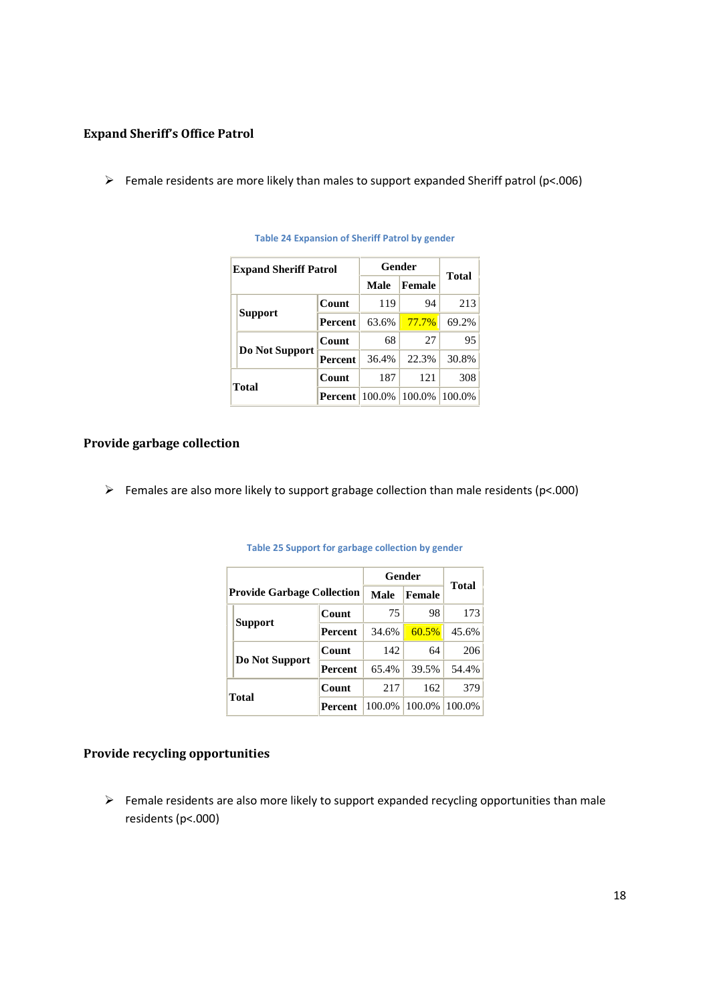#### **Expand Sheriff's Office Patrol**

Female residents are more likely than males to support expanded Sheriff patrol (p<.006)

|              | <b>Expand Sheriff Patrol</b> |                |        | Gender    | <b>Total</b> |
|--------------|------------------------------|----------------|--------|-----------|--------------|
|              |                              | Male           | Female |           |              |
|              |                              | Count          | 119    | 94        | 213          |
|              | <b>Support</b>               | <b>Percent</b> | 63.6%  | 77.7%     | 69.2%        |
|              |                              | Count          | 68     | 27        | 95           |
|              | Do Not Support               | <b>Percent</b> | 36.4%  | 22.3%     | 30.8%        |
|              |                              | Count          | 187    | 121       | 308          |
| <b>Total</b> |                              | <b>Percent</b> | 100.0% | $100.0\%$ | 100.0%       |

#### **Table 24 Expansion of Sheriff Patrol by gender**

#### **Provide garbage collection**

Females are also more likely to support grabage collection than male residents ( $p$ <.000)

|       |                                   |                | Gender |               |              |
|-------|-----------------------------------|----------------|--------|---------------|--------------|
|       | <b>Provide Garbage Collection</b> |                | Male   | <b>Female</b> | <b>Total</b> |
|       |                                   | Count          | 75     | 98            | 173          |
|       | <b>Support</b>                    | <b>Percent</b> | 34.6%  | 60.5%         | $45.6\%$     |
|       |                                   | Count          | 142    | 64            | 206          |
|       | Do Not Support                    | <b>Percent</b> | 65.4%  | 39.5%         | 54.4%        |
| Total |                                   | Count          | 217    | 162           | 379          |
|       |                                   | Percent        | 100.0% | 100.0%        | 100.0%       |

#### **Table 25 Support for garbage collection by gender**

#### **Provide recycling opportunities**

 $\triangleright$  Female residents are also more likely to support expanded recycling opportunities than male residents (p<.000)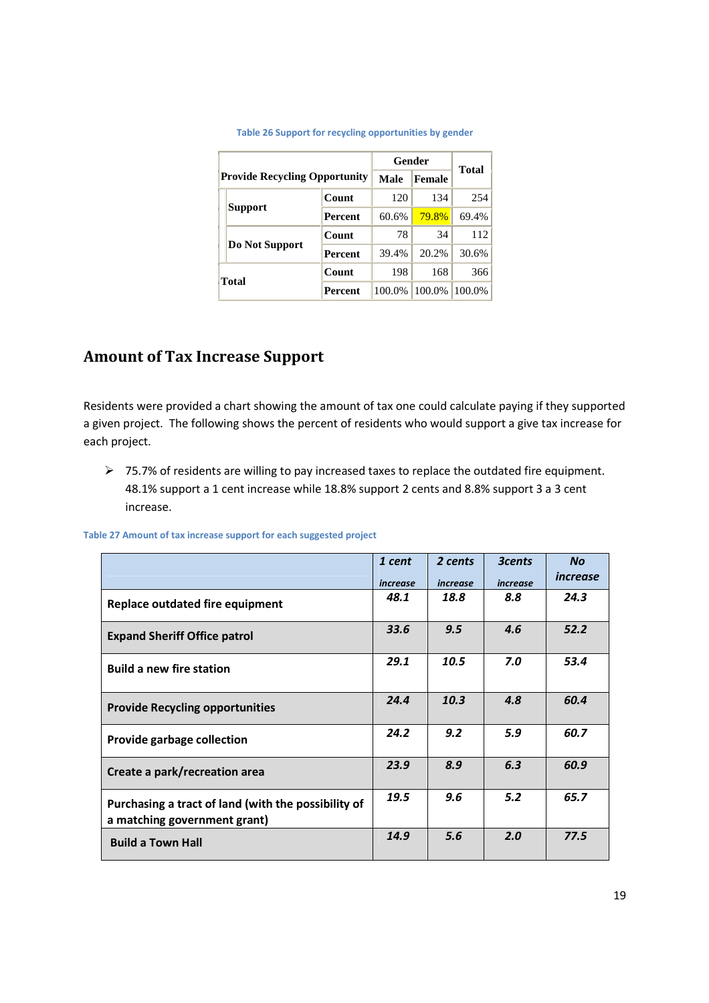|              |                                      |                |             | Gender        | Total     |
|--------------|--------------------------------------|----------------|-------------|---------------|-----------|
|              | <b>Provide Recycling Opportunity</b> |                | <b>Male</b> | <b>Female</b> |           |
|              |                                      | Count          | 120         | 134           | 254       |
|              | <b>Support</b>                       | Percent        | 60.6%       | 79.8%         | 69.4%     |
|              |                                      | Count          | 78          | 34            | 112       |
|              | Do Not Support                       | <b>Percent</b> | 39.4%       | 20.2%         | $30.6\%$  |
| <b>Total</b> |                                      | Count          | 198         | 168           | 366       |
|              |                                      | Percent        | 100.0%      | 100.0%        | $100.0\%$ |

#### **Table 26 Support for recycling opportunities by gender**

## **Amount of Tax Increase Support**

Residents were provided a chart showing the amount of tax one could calculate paying if they supported a given project. The following shows the percent of residents who would support a give tax increase for each project.

 75.7% of residents are willing to pay increased taxes to replace the outdated fire equipment. 48.1% support a 1 cent increase while 18.8% support 2 cents and 8.8% support 3 a 3 cent increase.

|  |  |  | Table 27 Amount of tax increase support for each suggested project |  |
|--|--|--|--------------------------------------------------------------------|--|
|  |  |  |                                                                    |  |

|                                                                                     | 1 cent<br>increase | 2 cents<br>increase | <b>3cents</b><br>increase | <b>No</b><br>increase |
|-------------------------------------------------------------------------------------|--------------------|---------------------|---------------------------|-----------------------|
| Replace outdated fire equipment                                                     | 48.1               | 18.8                | 8.8                       | 24.3                  |
| <b>Expand Sheriff Office patrol</b>                                                 | 33.6               | 9.5                 | 4.6                       | 52.2                  |
| <b>Build a new fire station</b>                                                     | 29.1               | 10.5                | 7.0                       | 53.4                  |
| <b>Provide Recycling opportunities</b>                                              | 24.4               | 10.3                | 4.8                       | 60.4                  |
| Provide garbage collection                                                          | 24.2               | 9.2                 | 5.9                       | 60.7                  |
| Create a park/recreation area                                                       | 23.9               | 8.9                 | 6.3                       | 60.9                  |
| Purchasing a tract of land (with the possibility of<br>a matching government grant) | 19.5               | 9.6                 | 5.2                       | 65.7                  |
| <b>Build a Town Hall</b>                                                            | 14.9               | 5.6                 | 2.0                       | 77.5                  |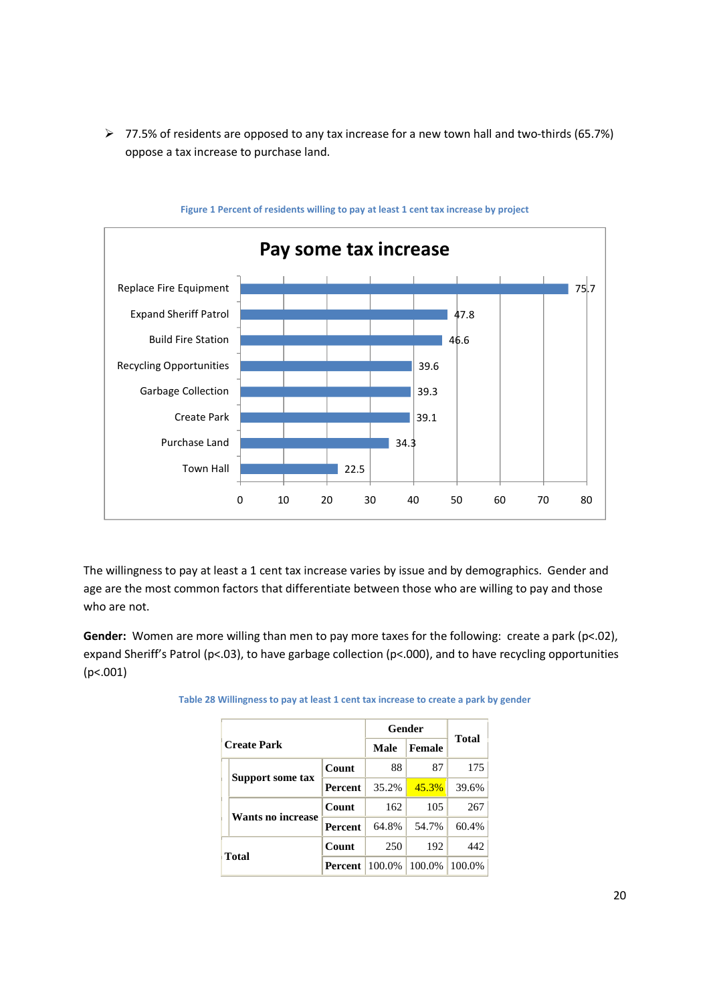77.5% of residents are opposed to any tax increase for a new town hall and two-thirds (65.7%) oppose a tax increase to purchase land.



**Figure 1 Percent of residents willing to pay at least 1 cent tax increase by project**

The willingness to pay at least a 1 cent tax increase varies by issue and by demographics. Gender and age are the most common factors that differentiate between those who are willing to pay and those who are not.

**Gender:** Women are more willing than men to pay more taxes for the following: create a park (p<.02), expand Sheriff's Patrol (p<.03), to have garbage collection (p<.000), and to have recycling opportunities (p<.001)

|                    |                | Gender |        |              |
|--------------------|----------------|--------|--------|--------------|
| <b>Create Park</b> |                | Male   | Female | <b>Total</b> |
|                    | Count          | 88     | 87     | 175          |
| Support some tax   | <b>Percent</b> | 35.2%  | 45.3%  | 39.6%        |
|                    | Count          | 162    | 105    | 267          |
| Wants no increase  | <b>Percent</b> | 64.8%  | 54.7%  | 60.4%        |
|                    | Count          | 250    | 192    | 442          |
| <b>Total</b>       | Percent        | 100.0% | 100.0% | 100.0%       |

**Table 28 Willingness to pay at least 1 cent tax increase to create a park by gender**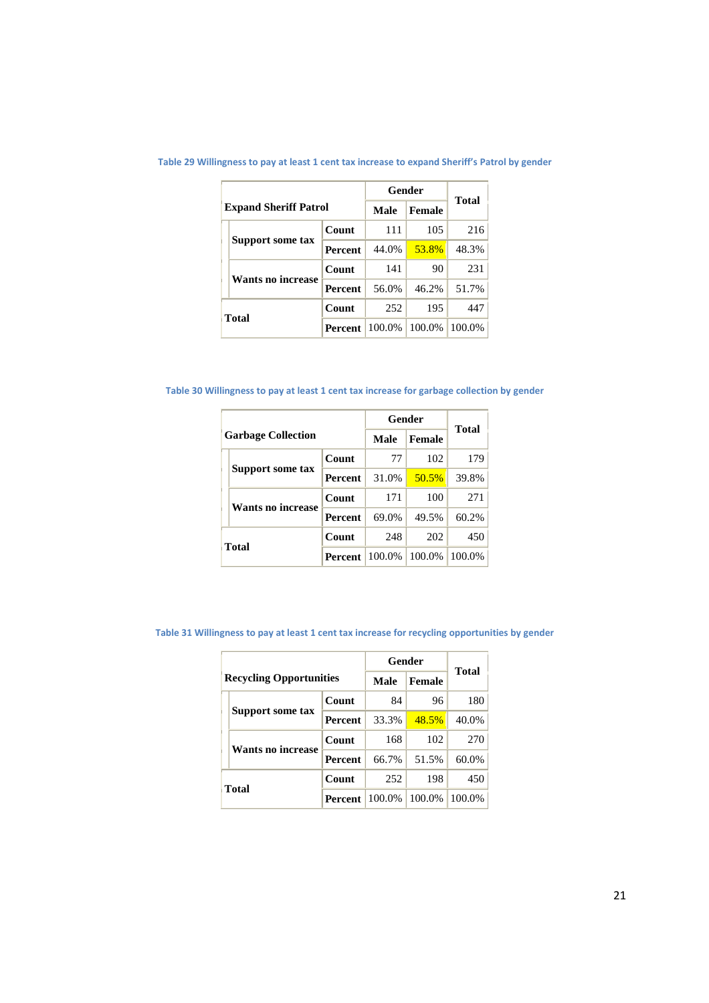|                              |                | Gender |               | <b>Total</b> |
|------------------------------|----------------|--------|---------------|--------------|
| <b>Expand Sheriff Patrol</b> |                | Male   | <b>Female</b> |              |
|                              | Count          | 111    | 105           | 216          |
| Support some tax             | <b>Percent</b> | 44.0%  | 53.8%         | 48.3%        |
| Wants no increase            | Count          | 141    | 90            | 231          |
|                              | <b>Percent</b> | 56.0%  | 46.2%         | 51.7%        |
| <b>Total</b>                 | Count          | 252    | 195           | 447          |
|                              | <b>Percent</b> | 100.0% | 100.0%        | 100.0%       |

**Table 29 Willingness to pay at least 1 cent tax increase to expand Sheriff's Patrol by gender**

**Table 30 Willingness to pay at least 1 cent tax increase for garbage collection by gender**

|       |                           | Gender         | <b>Total</b> |               |        |
|-------|---------------------------|----------------|--------------|---------------|--------|
|       | <b>Garbage Collection</b> |                | Male         | <b>Female</b> |        |
|       |                           | Count          | 77           | 102           | 179    |
|       | Support some tax          | <b>Percent</b> | 31.0%        | 50.5%         | 39.8%  |
|       | Wants no increase         | Count          | 171          | 100           | 271    |
|       |                           | <b>Percent</b> | 69.0%        | 49.5%         | 60.2%  |
| Total |                           | Count          | 248          | 202           | 450    |
|       |                           | <b>Percent</b> | 100.0%       | 100.0%        | 100.0% |

**Table 31 Willingness to pay at least 1 cent tax increase for recycling opportunities by gender**

|              |                                |                | Gender      | <b>Total</b>  |        |
|--------------|--------------------------------|----------------|-------------|---------------|--------|
|              | <b>Recycling Opportunities</b> |                | <b>Male</b> | <b>Female</b> |        |
|              | Support some tax               | Count          | 84          | 96            | 180    |
|              |                                | <b>Percent</b> | 33.3%       | 48.5%         | 40.0%  |
|              | Wants no increase              | Count          | 168         | 102           | 270    |
|              |                                | <b>Percent</b> | 66.7%       | 51.5%         | 60.0%  |
| <b>Total</b> |                                | Count          | 252         | 198           | 450    |
|              |                                | <b>Percent</b> | 100.0%      | 100.0%        | 100.0% |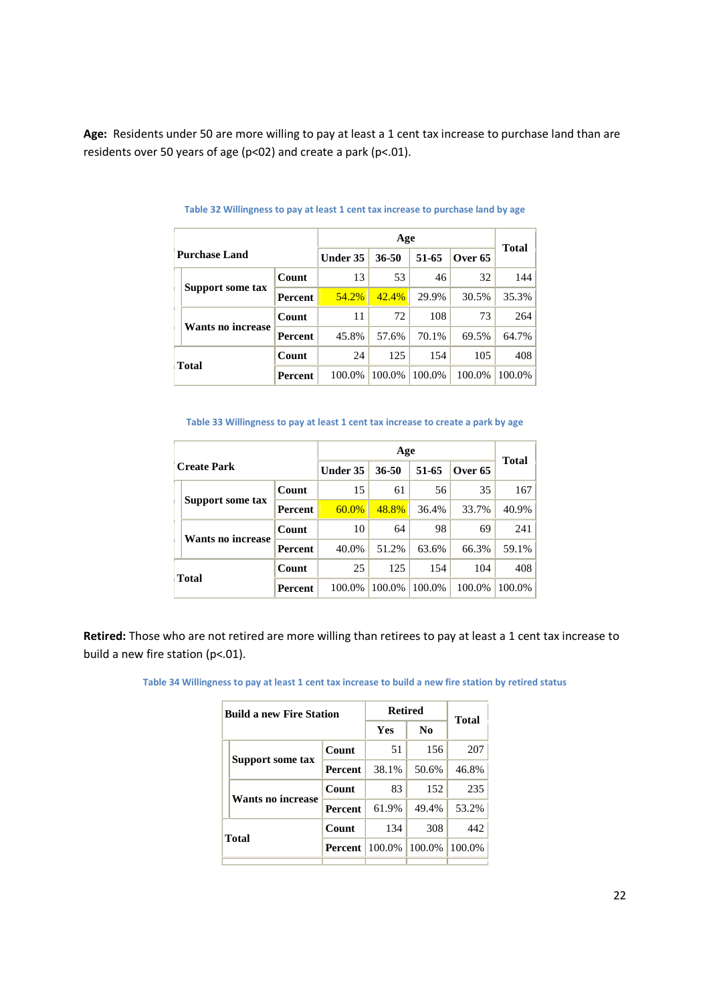**Age:** Residents under 50 are more willing to pay at least a 1 cent tax increase to purchase land than are residents over 50 years of age (p<02) and create a park (p<.01).

|                      |                   |                |          | Total     |        |         |        |
|----------------------|-------------------|----------------|----------|-----------|--------|---------|--------|
| <b>Purchase Land</b> |                   |                | Under 35 | $36 - 50$ | 51-65  | Over 65 |        |
|                      |                   | Count          | 13       | 53        | 46     | 32      | 144    |
|                      | Support some tax  | Percent        | 54.2%    | 42.4%     | 29.9%  | 30.5%   | 35.3%  |
|                      | Wants no increase | Count          | 11       | 72        | 108    | 73      | 264    |
|                      |                   | <b>Percent</b> | 45.8%    | 57.6%     | 70.1%  | 69.5%   | 64.7%  |
| <b>Total</b>         |                   | Count          | 24       | 125       | 154    | 105     | 408    |
|                      |                   | Percent        | 100.0%   | 100.0%    | 100.0% | 100.0%  | 100.0% |

#### **Table 32 Willingness to pay at least 1 cent tax increase to purchase land by age**

#### **Table 33 Willingness to pay at least 1 cent tax increase to create a park by age**

|                    |                   |                | Age             |        |        |                    | <b>Total</b> |
|--------------------|-------------------|----------------|-----------------|--------|--------|--------------------|--------------|
| <b>Create Park</b> |                   |                | <b>Under 35</b> | 36-50  | 51-65  | Over <sub>65</sub> |              |
|                    |                   | Count          | 15              | 61     | 56     | 35                 | 167          |
|                    | Support some tax  | <b>Percent</b> | 60.0%           | 48.8%  | 36.4%  | 33.7%              | 40.9%        |
|                    |                   | Count          | 10              | 64     | 98     | 69                 | 241          |
|                    | Wants no increase | <b>Percent</b> | 40.0%           | 51.2%  | 63.6%  | 66.3%              | 59.1%        |
| <b>Total</b>       |                   | Count          | 25              | 125    | 154    | 104                | 408          |
|                    |                   | <b>Percent</b> | 100.0%          | 100.0% | 100.0% | 100.0%             | 100.0%       |

**Retired:** Those who are not retired are more willing than retirees to pay at least a 1 cent tax increase to build a new fire station (p<.01).

|  | <b>Build a new Fire Station</b> |                | <b>Retired</b> | <b>Total</b>   |        |
|--|---------------------------------|----------------|----------------|----------------|--------|
|  |                                 |                | Yes            | N <sub>0</sub> |        |
|  | Support some tax                | Count          | 51             | 156            | 207    |
|  |                                 | <b>Percent</b> | 38.1%          | 50.6%          | 46.8%  |
|  | <b>Wants no increase</b>        | Count          | 83             | 152            | 235    |
|  |                                 | <b>Percent</b> | 61.9%          | 49.4%          | 53.2%  |
|  | <b>Total</b>                    | Count          | 134            | 308            | 442    |
|  |                                 | Percent        | 100.0%         | 100.0%         | 100.0% |
|  |                                 |                |                |                |        |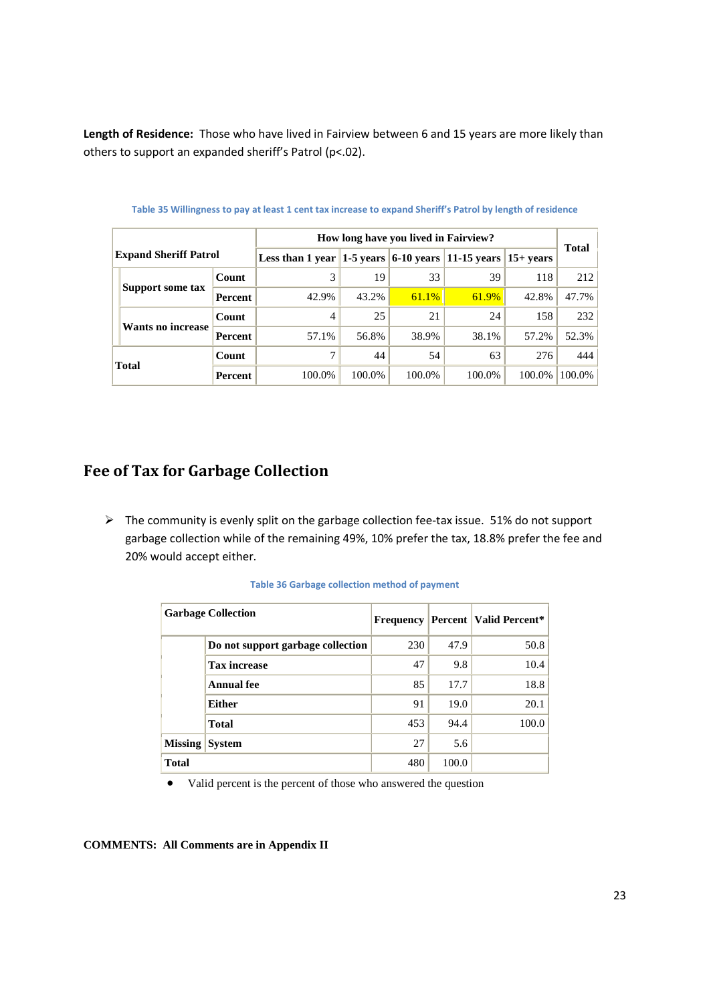**Length of Residence:** Those who have lived in Fairview between 6 and 15 years are more likely than others to support an expanded sheriff's Patrol (p<.02).

|                              |                   |                | How long have you lived in Fairview?                                    |        |          |        |        |        |
|------------------------------|-------------------|----------------|-------------------------------------------------------------------------|--------|----------|--------|--------|--------|
| <b>Expand Sheriff Patrol</b> |                   |                | Less than 1 year $ 1-5$ years $ 6-10$ years $ 11-15$ years $ 15+$ years |        |          |        |        | Total  |
|                              | Support some tax  | Count          | 3                                                                       | 19     | 33       | 39     | 118    | 212    |
|                              |                   | Percent        | 42.9%                                                                   | 43.2%  | $61.1\%$ | 61.9%  | 42.8%  | 47.7%  |
|                              |                   | Count          | 4                                                                       | 25     | 21       | 24     | 158    | 232    |
|                              | Wants no increase | Percent        | 57.1%                                                                   | 56.8%  | 38.9%    | 38.1%  | 57.2%  | 52.3%  |
|                              | <b>Total</b>      | Count          |                                                                         | 44     | 54       | 63     | 276    | 444    |
|                              |                   | <b>Percent</b> | 100.0%                                                                  | 100.0% | 100.0%   | 100.0% | 100.0% | 100.0% |

**Table 35 Willingness to pay at least 1 cent tax increase to expand Sheriff's Patrol by length of residence**

## **Fee of Tax for Garbage Collection**

 $\triangleright$  The community is evenly split on the garbage collection fee-tax issue. 51% do not support garbage collection while of the remaining 49%, 10% prefer the tax, 18.8% prefer the fee and 20% would accept either.

|                | <b>Garbage Collection</b>         | <b>Frequency</b> |       | <b>Percent   Valid Percent*</b> |
|----------------|-----------------------------------|------------------|-------|---------------------------------|
|                | Do not support garbage collection | 230              | 47.9  | 50.8                            |
|                | <b>Tax increase</b>               | 47               | 9.8   | 10.4                            |
|                | Annual fee                        | 85               | 17.7  | 18.8                            |
|                | <b>Either</b>                     | 91               | 19.0  | 20.1                            |
|                | <b>Total</b>                      | 453              | 94.4  | 100.0                           |
| <b>Missing</b> | <b>System</b>                     | 27               | 5.6   |                                 |
| <b>Total</b>   |                                   | 480              | 100.0 |                                 |

**Table 36 Garbage collection method of payment**

Valid percent is the percent of those who answered the question

#### **COMMENTS: All Comments are in Appendix II**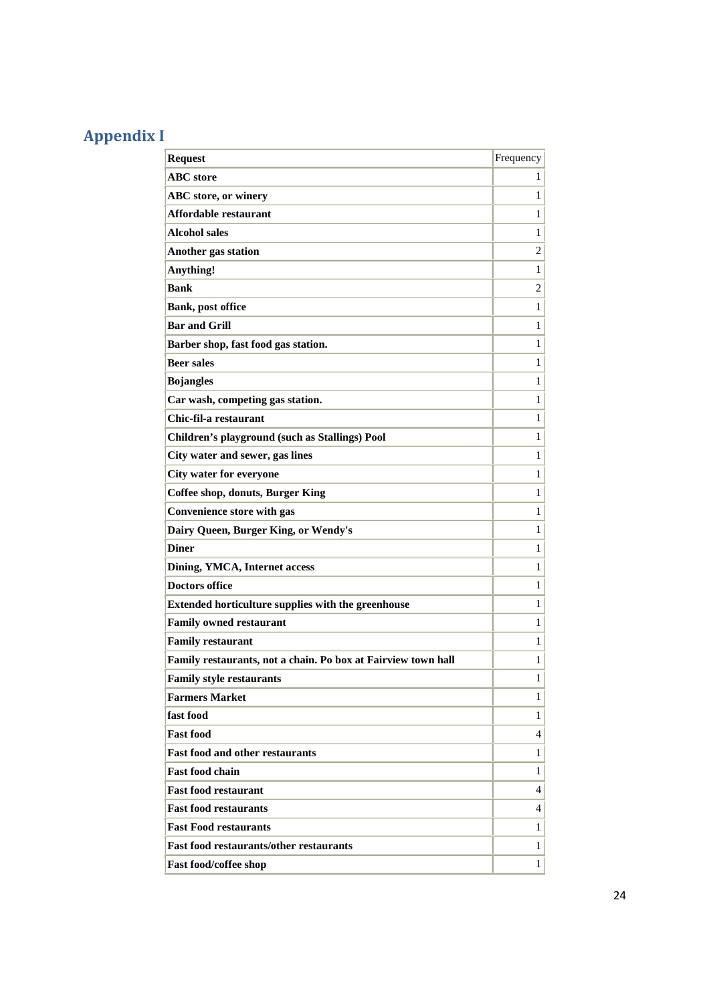# **Appendix I**

| <b>Request</b>                                                | Frequency      |
|---------------------------------------------------------------|----------------|
| <b>ABC</b> store                                              | 1              |
| <b>ABC</b> store, or winery                                   | 1              |
| Affordable restaurant                                         | 1              |
| <b>Alcohol sales</b>                                          | $\mathbf{1}$   |
| Another gas station                                           | $\overline{2}$ |
| Anything!                                                     | $\mathbf{1}$   |
| <b>Bank</b>                                                   | $\overline{2}$ |
| <b>Bank, post office</b>                                      | $\mathbf{1}$   |
| <b>Bar and Grill</b>                                          | $\mathbf{1}$   |
| Barber shop, fast food gas station.                           | $\mathbf{1}$   |
| <b>Beer sales</b>                                             | $\mathbf{1}$   |
| <b>Bojangles</b>                                              | 1              |
| Car wash, competing gas station.                              | 1              |
| Chic-fil-a restaurant                                         | $\mathbf{1}$   |
| Children's playground (such as Stallings) Pool                | 1              |
| City water and sewer, gas lines                               | $\mathbf{1}$   |
| <b>City water for everyone</b>                                | $\mathbf{1}$   |
| <b>Coffee shop, donuts, Burger King</b>                       | $\mathbf{1}$   |
| Convenience store with gas                                    | $\mathbf{1}$   |
| Dairy Queen, Burger King, or Wendy's                          | $\mathbf{1}$   |
| <b>Diner</b>                                                  | $\mathbf{1}$   |
| Dining, YMCA, Internet access                                 | $\mathbf{1}$   |
| <b>Doctors office</b>                                         | $\mathbf{1}$   |
| Extended horticulture supplies with the greenhouse            | $\mathbf{1}$   |
| <b>Family owned restaurant</b>                                | $\mathbf{1}$   |
| <b>Family restaurant</b>                                      | $\mathbf{1}$   |
| Family restaurants, not a chain. Po box at Fairview town hall | $\mathbf{1}$   |
| Family style restaurants                                      | 1              |
| <b>Farmers Market</b>                                         | 1              |
| fast food                                                     | 1              |
| <b>Fast food</b>                                              | 4              |
| <b>Fast food and other restaurants</b>                        | 1              |
| <b>Fast food chain</b>                                        | 1              |
| <b>Fast food restaurant</b>                                   | 4              |
| <b>Fast food restaurants</b>                                  | 4              |
| <b>Fast Food restaurants</b>                                  | 1              |
| <b>Fast food restaurants/other restaurants</b>                | 1              |
| <b>Fast food/coffee shop</b>                                  | 1              |
|                                                               |                |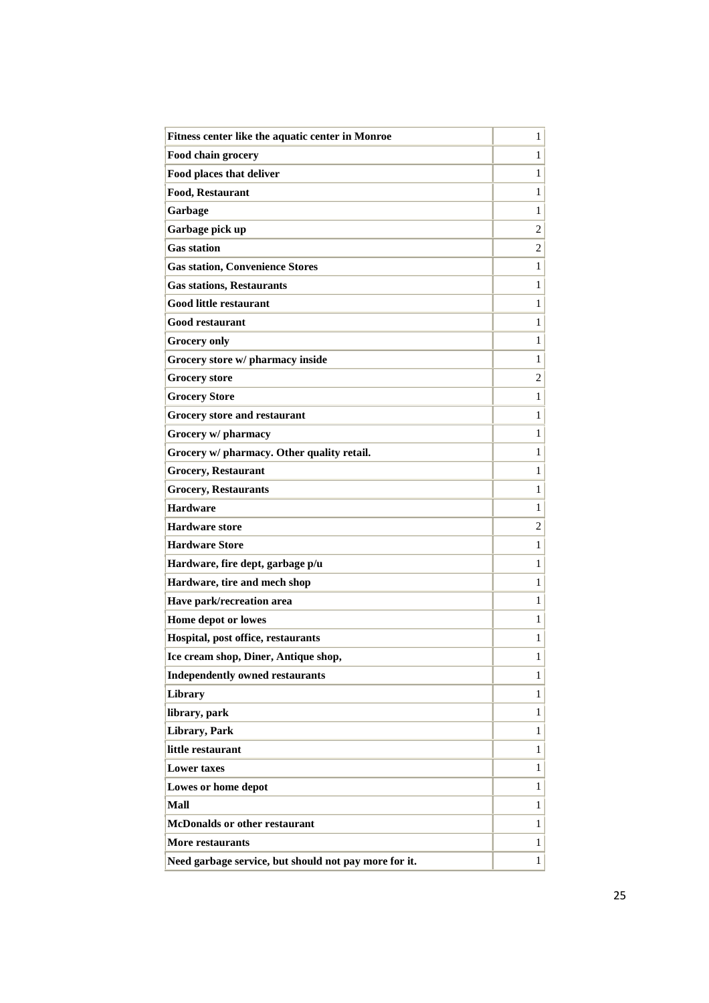| Fitness center like the aquatic center in Monroe      | $\mathbf{1}$   |
|-------------------------------------------------------|----------------|
| Food chain grocery                                    | $\mathbf{1}$   |
| Food places that deliver                              | $\mathbf{1}$   |
| <b>Food, Restaurant</b>                               | 1              |
| Garbage                                               | $\mathbf{1}$   |
| Garbage pick up                                       | $\overline{c}$ |
| <b>Gas station</b>                                    | 2              |
| <b>Gas station, Convenience Stores</b>                | $\mathbf{1}$   |
| <b>Gas stations, Restaurants</b>                      | $\mathbf{1}$   |
| <b>Good little restaurant</b>                         | $\mathbf{1}$   |
| <b>Good restaurant</b>                                | 1              |
| <b>Grocery only</b>                                   | $\mathbf{1}$   |
| Grocery store w/ pharmacy inside                      | $\mathbf{1}$   |
| <b>Grocery</b> store                                  | 2              |
| <b>Grocery Store</b>                                  | $\mathbf{1}$   |
| Grocery store and restaurant                          | 1              |
| Grocery w/ pharmacy                                   | $\mathbf{1}$   |
| Grocery w/ pharmacy. Other quality retail.            | $\mathbf{1}$   |
| <b>Grocery, Restaurant</b>                            | $\mathbf{1}$   |
| <b>Grocery, Restaurants</b>                           | $\mathbf{1}$   |
| <b>Hardware</b>                                       | $\mathbf{1}$   |
| <b>Hardware</b> store                                 | 2              |
| <b>Hardware Store</b>                                 | $\mathbf{1}$   |
| Hardware, fire dept, garbage p/u                      | $\mathbf{1}$   |
| Hardware, tire and mech shop                          | $\mathbf{1}$   |
| Have park/recreation area                             | $\mathbf{1}$   |
| Home depot or lowes                                   | 1              |
| Hospital, post office, restaurants                    | $\mathbf{1}$   |
| Ice cream shop, Diner, Antique shop,                  | 1              |
| <b>Independently owned restaurants</b>                | $\mathbf{1}$   |
| Library                                               | 1              |
| library, park                                         | 1              |
| Library, Park                                         | $\mathbf{1}$   |
| little restaurant                                     | $\mathbf{1}$   |
| <b>Lower taxes</b>                                    | $\mathbf{1}$   |
| Lowes or home depot                                   | 1              |
| Mall                                                  | $\mathbf{1}$   |
| <b>McDonalds or other restaurant</b>                  | 1              |
| More restaurants                                      | 1              |
| Need garbage service, but should not pay more for it. | $\mathbf{1}$   |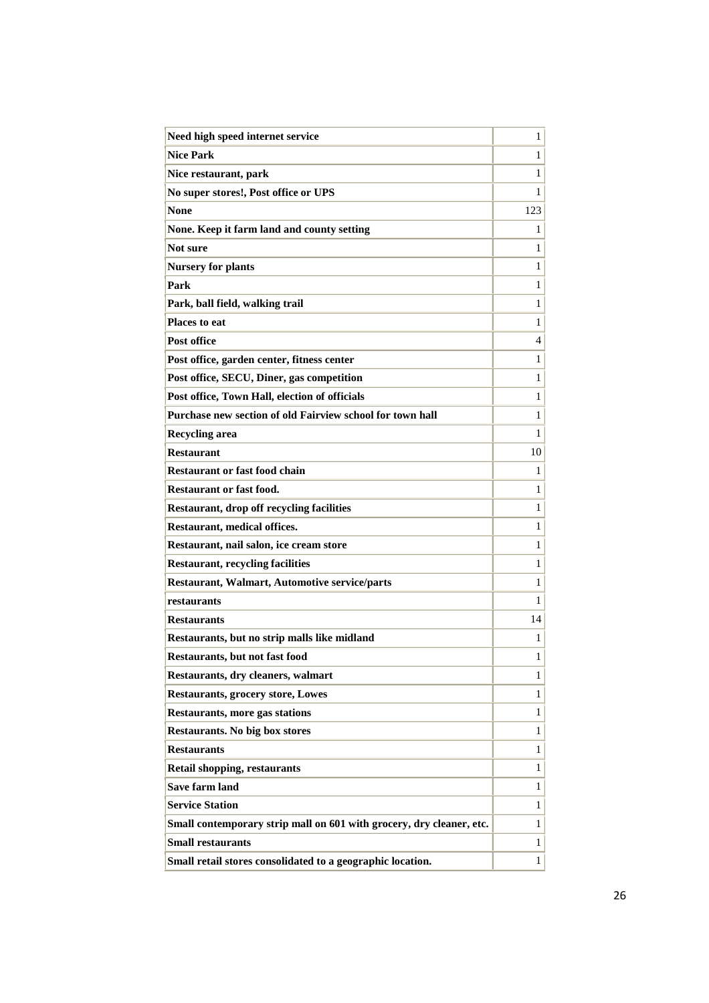| Need high speed internet service                                     | 1            |
|----------------------------------------------------------------------|--------------|
| <b>Nice Park</b>                                                     | $\mathbf{1}$ |
| Nice restaurant, park                                                | 1            |
| No super stores!, Post office or UPS                                 | $\mathbf{1}$ |
| <b>None</b>                                                          | 123          |
| None. Keep it farm land and county setting                           | $\mathbf{1}$ |
| Not sure                                                             | $\mathbf{1}$ |
| <b>Nursery for plants</b>                                            | $\mathbf{1}$ |
| Park                                                                 | 1            |
| Park, ball field, walking trail                                      | 1            |
| <b>Places to eat</b>                                                 | 1            |
| <b>Post office</b>                                                   | 4            |
| Post office, garden center, fitness center                           | 1            |
| Post office, SECU, Diner, gas competition                            | 1            |
| Post office, Town Hall, election of officials                        | 1            |
| Purchase new section of old Fairview school for town hall            | 1            |
| <b>Recycling area</b>                                                | 1            |
| <b>Restaurant</b>                                                    | 10           |
| <b>Restaurant or fast food chain</b>                                 | 1            |
| <b>Restaurant or fast food.</b>                                      | 1            |
| Restaurant, drop off recycling facilities                            | 1            |
| Restaurant, medical offices.                                         | $\mathbf{1}$ |
| Restaurant, nail salon, ice cream store                              | $\mathbf{1}$ |
| <b>Restaurant, recycling facilities</b>                              | 1            |
| <b>Restaurant, Walmart, Automotive service/parts</b>                 | 1            |
| restaurants                                                          | 1            |
| <b>Restaurants</b>                                                   | 14           |
| Restaurants, but no strip malls like midland                         | 1            |
| Restaurants, but not fast food                                       | 1            |
| Restaurants, dry cleaners, walmart                                   | $\mathbf{1}$ |
| <b>Restaurants, grocery store, Lowes</b>                             | $\mathbf{1}$ |
| <b>Restaurants, more gas stations</b>                                | $\mathbf{1}$ |
| <b>Restaurants. No big box stores</b>                                | $\mathbf{1}$ |
| <b>Restaurants</b>                                                   | $\mathbf{1}$ |
| <b>Retail shopping, restaurants</b>                                  | $\mathbf{1}$ |
| <b>Save farm land</b>                                                | $\mathbf{1}$ |
| <b>Service Station</b>                                               | $\mathbf{1}$ |
| Small contemporary strip mall on 601 with grocery, dry cleaner, etc. | $\mathbf{1}$ |
| <b>Small restaurants</b>                                             | $\mathbf{1}$ |
| Small retail stores consolidated to a geographic location.           | $\mathbf{1}$ |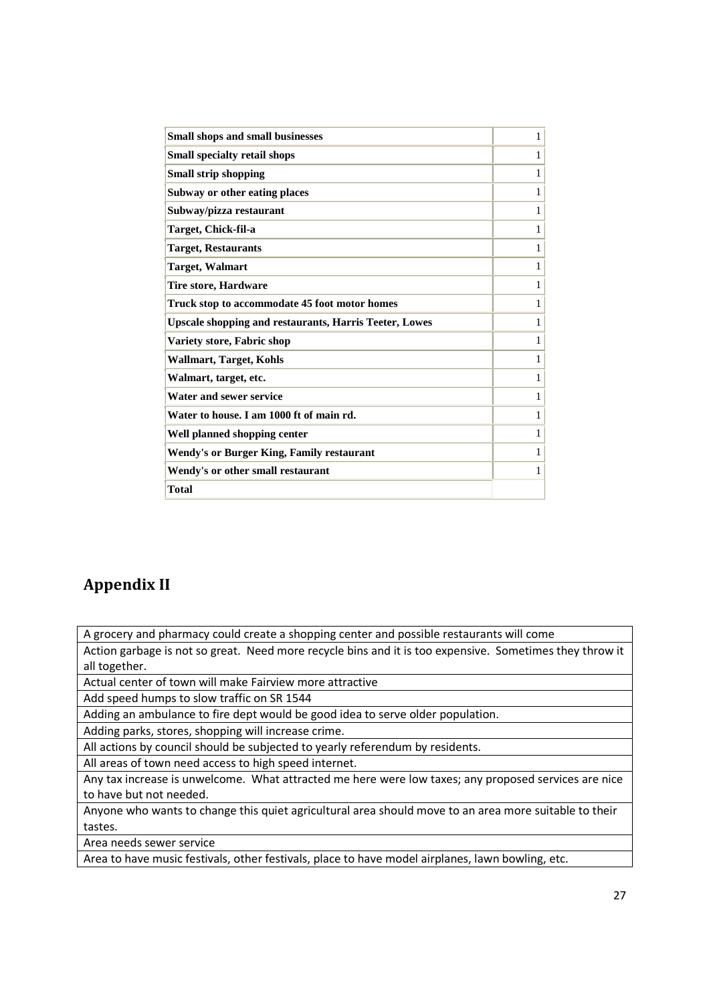| <b>Small shops and small businesses</b>                       | $\mathbf{1}$ |
|---------------------------------------------------------------|--------------|
| <b>Small specialty retail shops</b>                           | $\mathbf{1}$ |
| <b>Small strip shopping</b>                                   | $\mathbf{1}$ |
| Subway or other eating places                                 | 1            |
| Subway/pizza restaurant                                       | $\mathbf{1}$ |
| Target, Chick-fil-a                                           | $\mathbf{1}$ |
| <b>Target, Restaurants</b>                                    | 1            |
| <b>Target, Walmart</b>                                        | 1            |
| <b>Tire store, Hardware</b>                                   | 1            |
| Truck stop to accommodate 45 foot motor homes                 | 1            |
| <b>Upscale shopping and restaurants, Harris Teeter, Lowes</b> | $\mathbf{1}$ |
| Variety store, Fabric shop                                    | $\mathbf{1}$ |
| <b>Wallmart, Target, Kohls</b>                                | $\mathbf{1}$ |
| Walmart, target, etc.                                         | 1            |
| Water and sewer service                                       | $\mathbf{1}$ |
| Water to house. I am 1000 ft of main rd.                      | $\mathbf{1}$ |
| Well planned shopping center                                  | 1            |
| Wendy's or Burger King, Family restaurant                     | 1            |
| Wendy's or other small restaurant                             | 1            |
| <b>Total</b>                                                  |              |
|                                                               |              |

## **Appendix II**

A grocery and pharmacy could create a shopping center and possible restaurants will come

Action garbage is not so great. Need more recycle bins and it is too expensive. Sometimes they throw it all together.

Actual center of town will make Fairview more attractive

Add speed humps to slow traffic on SR 1544

Adding an ambulance to fire dept would be good idea to serve older population.

Adding parks, stores, shopping will increase crime.

All actions by council should be subjected to yearly referendum by residents.

All areas of town need access to high speed internet.

Any tax increase is unwelcome. What attracted me here were low taxes; any proposed services are nice to have but not needed.

Anyone who wants to change this quiet agricultural area should move to an area more suitable to their tastes.

Area needs sewer service

Area to have music festivals, other festivals, place to have model airplanes, lawn bowling, etc.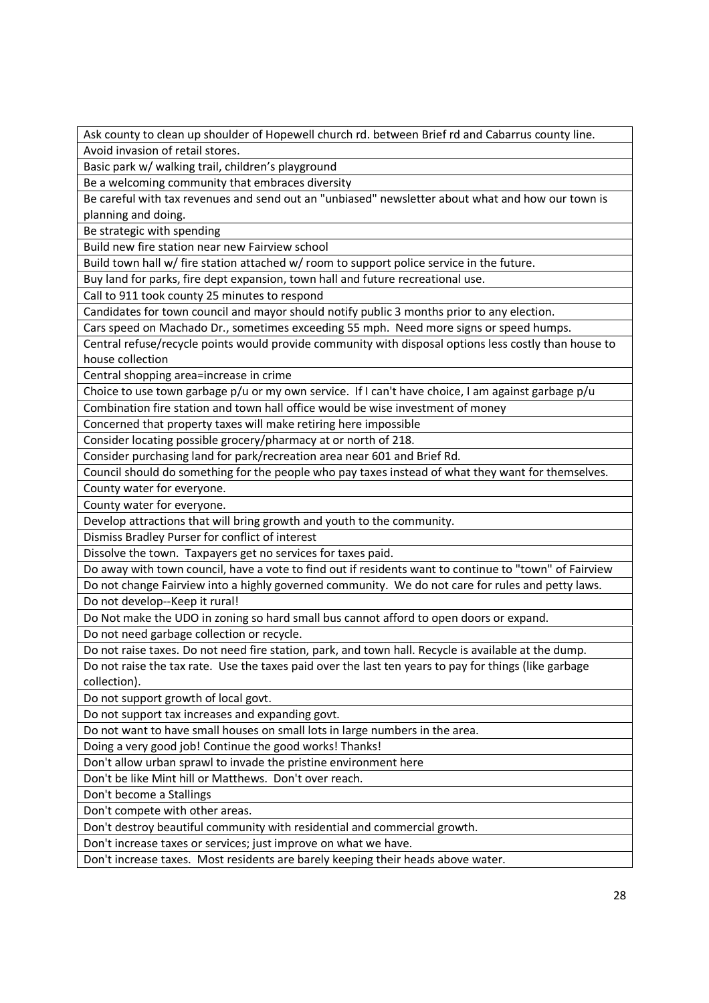Ask county to clean up shoulder of Hopewell church rd. between Brief rd and Cabarrus county line. Avoid invasion of retail stores.

Basic park w/ walking trail, children's playground

Be a welcoming community that embraces diversity

Be careful with tax revenues and send out an "unbiased" newsletter about what and how our town is planning and doing.

Be strategic with spending

Build new fire station near new Fairview school

Build town hall w/ fire station attached w/ room to support police service in the future.

Buy land for parks, fire dept expansion, town hall and future recreational use.

Call to 911 took county 25 minutes to respond

Candidates for town council and mayor should notify public 3 months prior to any election.

Cars speed on Machado Dr., sometimes exceeding 55 mph. Need more signs or speed humps.

Central refuse/recycle points would provide community with disposal options less costly than house to house collection

Central shopping area=increase in crime

Choice to use town garbage p/u or my own service. If I can't have choice, I am against garbage p/u

Combination fire station and town hall office would be wise investment of money

Concerned that property taxes will make retiring here impossible

Consider locating possible grocery/pharmacy at or north of 218.

Consider purchasing land for park/recreation area near 601 and Brief Rd.

Council should do something for the people who pay taxes instead of what they want for themselves.

County water for everyone.

County water for everyone.

Develop attractions that will bring growth and youth to the community.

Dismiss Bradley Purser for conflict of interest

Dissolve the town. Taxpayers get no services for taxes paid.

Do away with town council, have a vote to find out if residents want to continue to "town" of Fairview

Do not change Fairview into a highly governed community. We do not care for rules and petty laws.

Do not develop--Keep it rural!

Do Not make the UDO in zoning so hard small bus cannot afford to open doors or expand.

Do not need garbage collection or recycle.

Do not raise taxes. Do not need fire station, park, and town hall. Recycle is available at the dump. Do not raise the tax rate. Use the taxes paid over the last ten years to pay for things (like garbage collection).

Do not support growth of local govt.

Do not support tax increases and expanding govt.

Do not want to have small houses on small lots in large numbers in the area.

Doing a very good job! Continue the good works! Thanks!

Don't allow urban sprawl to invade the pristine environment here

Don't be like Mint hill or Matthews. Don't over reach.

Don't become a Stallings

Don't compete with other areas.

Don't destroy beautiful community with residential and commercial growth.

Don't increase taxes or services; just improve on what we have.

Don't increase taxes. Most residents are barely keeping their heads above water.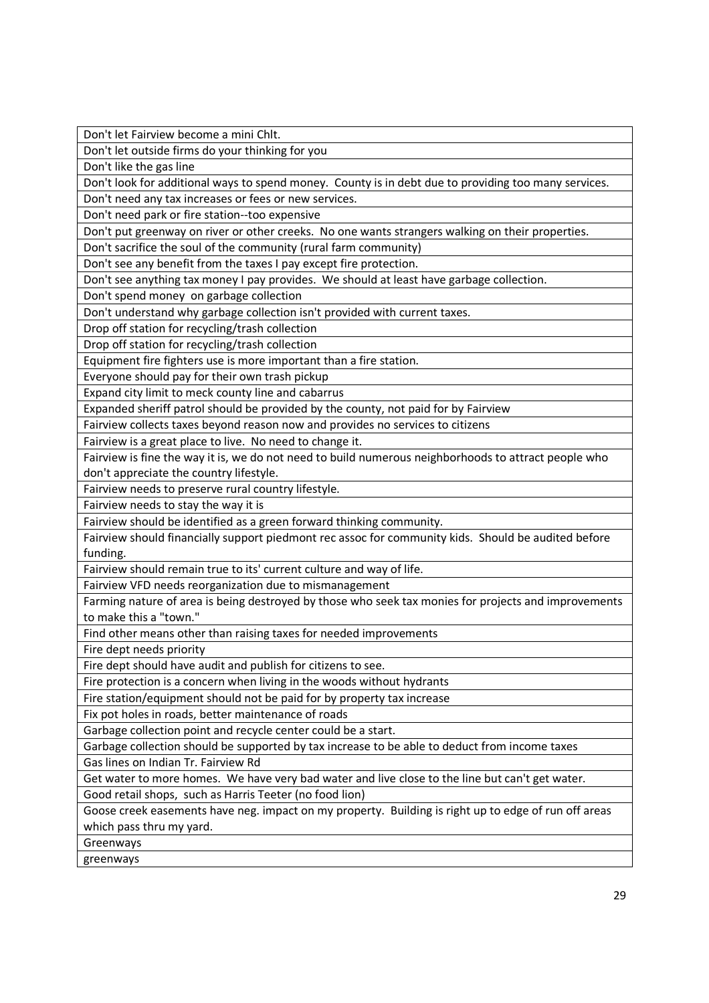Don't let Fairview become a mini Chlt.

Don't let outside firms do your thinking for you

Don't like the gas line

Don't look for additional ways to spend money. County is in debt due to providing too many services.

Don't need any tax increases or fees or new services.

Don't need park or fire station--too expensive

Don't put greenway on river or other creeks. No one wants strangers walking on their properties.

Don't sacrifice the soul of the community (rural farm community)

Don't see any benefit from the taxes I pay except fire protection.

Don't see anything tax money I pay provides. We should at least have garbage collection.

Don't spend money on garbage collection

Don't understand why garbage collection isn't provided with current taxes.

Drop off station for recycling/trash collection

Drop off station for recycling/trash collection

Equipment fire fighters use is more important than a fire station.

Everyone should pay for their own trash pickup

Expand city limit to meck county line and cabarrus

Expanded sheriff patrol should be provided by the county, not paid for by Fairview

Fairview collects taxes beyond reason now and provides no services to citizens

Fairview is a great place to live. No need to change it.

Fairview is fine the way it is, we do not need to build numerous neighborhoods to attract people who don't appreciate the country lifestyle.

Fairview needs to preserve rural country lifestyle.

Fairview needs to stay the way it is

Fairview should be identified as a green forward thinking community.

Fairview should financially support piedmont rec assoc for community kids. Should be audited before funding.

Fairview should remain true to its' current culture and way of life.

Fairview VFD needs reorganization due to mismanagement

Farming nature of area is being destroyed by those who seek tax monies for projects and improvements to make this a "town."

Find other means other than raising taxes for needed improvements

Fire dept needs priority

Fire dept should have audit and publish for citizens to see.

Fire protection is a concern when living in the woods without hydrants

Fire station/equipment should not be paid for by property tax increase

Fix pot holes in roads, better maintenance of roads

Garbage collection point and recycle center could be a start.

Garbage collection should be supported by tax increase to be able to deduct from income taxes

Gas lines on Indian Tr. Fairview Rd

Get water to more homes. We have very bad water and live close to the line but can't get water.

Good retail shops, such as Harris Teeter (no food lion)

Goose creek easements have neg. impact on my property. Building is right up to edge of run off areas which pass thru my yard.

Greenways

greenways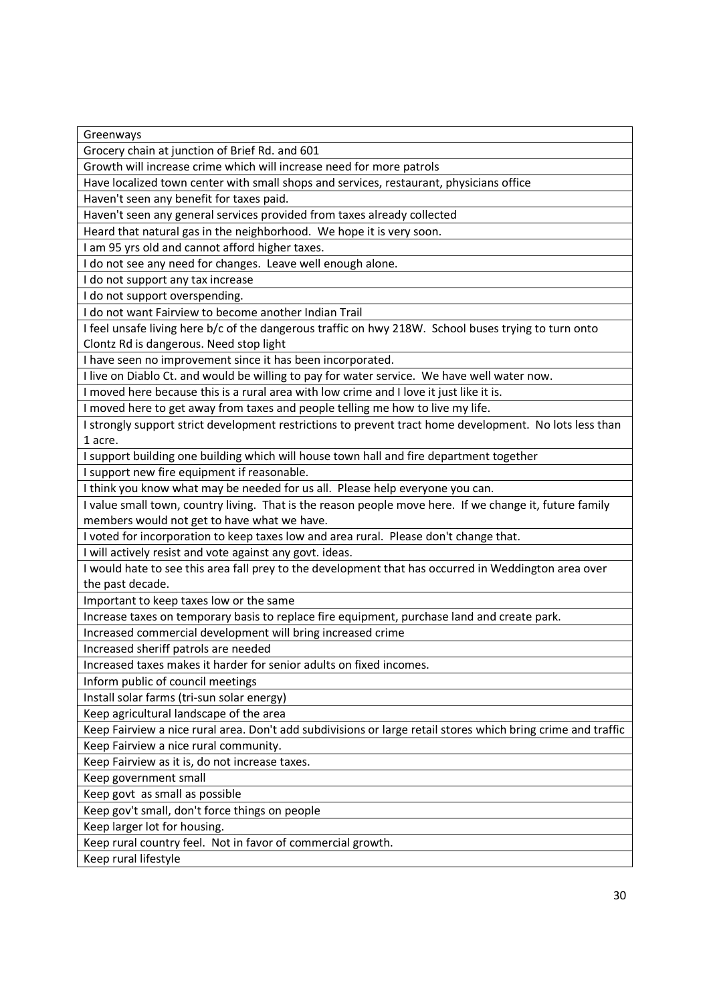Greenways

Grocery chain at junction of Brief Rd. and 601

Growth will increase crime which will increase need for more patrols

Have localized town center with small shops and services, restaurant, physicians office

Haven't seen any benefit for taxes paid.

Haven't seen any general services provided from taxes already collected

Heard that natural gas in the neighborhood. We hope it is very soon.

I am 95 yrs old and cannot afford higher taxes.

I do not see any need for changes. Leave well enough alone.

I do not support any tax increase

I do not support overspending.

I do not want Fairview to become another Indian Trail

I feel unsafe living here b/c of the dangerous traffic on hwy 218W. School buses trying to turn onto Clontz Rd is dangerous. Need stop light

I have seen no improvement since it has been incorporated.

I live on Diablo Ct. and would be willing to pay for water service. We have well water now.

I moved here because this is a rural area with low crime and I love it just like it is.

I moved here to get away from taxes and people telling me how to live my life.

I strongly support strict development restrictions to prevent tract home development. No lots less than 1 acre.

I support building one building which will house town hall and fire department together

I support new fire equipment if reasonable.

I think you know what may be needed for us all. Please help everyone you can.

I value small town, country living. That is the reason people move here. If we change it, future family members would not get to have what we have.

I voted for incorporation to keep taxes low and area rural. Please don't change that.

I will actively resist and vote against any govt. ideas.

I would hate to see this area fall prey to the development that has occurred in Weddington area over the past decade.

Important to keep taxes low or the same

Increase taxes on temporary basis to replace fire equipment, purchase land and create park.

Increased commercial development will bring increased crime

Increased sheriff patrols are needed

Increased taxes makes it harder for senior adults on fixed incomes.

Inform public of council meetings

Install solar farms (tri-sun solar energy)

Keep agricultural landscape of the area

Keep Fairview a nice rural area. Don't add subdivisions or large retail stores which bring crime and traffic Keep Fairview a nice rural community.

Keep Fairview as it is, do not increase taxes.

Keep government small

Keep govt as small as possible

Keep gov't small, don't force things on people

Keep larger lot for housing.

Keep rural country feel. Not in favor of commercial growth.

Keep rural lifestyle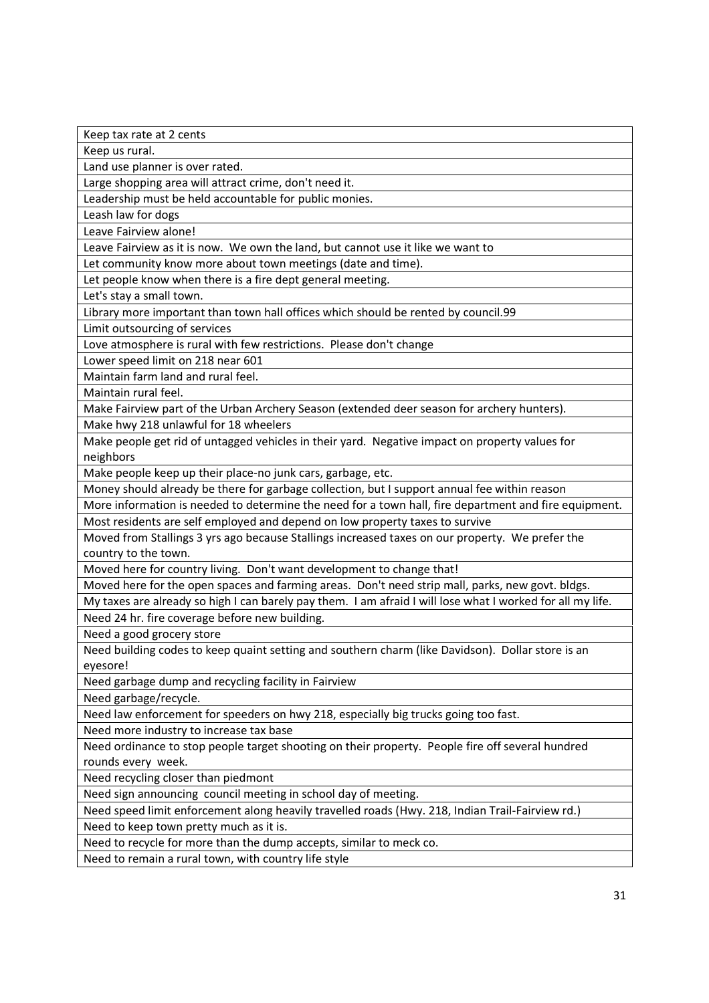Keep tax rate at 2 cents

Keep us rural.

Land use planner is over rated.

Large shopping area will attract crime, don't need it.

Leadership must be held accountable for public monies.

Leash law for dogs

Leave Fairview alone!

Leave Fairview as it is now. We own the land, but cannot use it like we want to

Let community know more about town meetings (date and time).

Let people know when there is a fire dept general meeting.

Let's stay a small town.

Library more important than town hall offices which should be rented by council.99

Limit outsourcing of services

Love atmosphere is rural with few restrictions. Please don't change

Lower speed limit on 218 near 601

Maintain farm land and rural feel.

Maintain rural feel.

Make Fairview part of the Urban Archery Season (extended deer season for archery hunters).

Make hwy 218 unlawful for 18 wheelers

Make people get rid of untagged vehicles in their yard. Negative impact on property values for neighbors

Make people keep up their place-no junk cars, garbage, etc.

Money should already be there for garbage collection, but I support annual fee within reason

More information is needed to determine the need for a town hall, fire department and fire equipment. Most residents are self employed and depend on low property taxes to survive

Moved from Stallings 3 yrs ago because Stallings increased taxes on our property. We prefer the country to the town.

Moved here for country living. Don't want development to change that!

Moved here for the open spaces and farming areas. Don't need strip mall, parks, new govt. bldgs.

My taxes are already so high I can barely pay them. I am afraid I will lose what I worked for all my life. Need 24 hr. fire coverage before new building.

Need a good grocery store

Need building codes to keep quaint setting and southern charm (like Davidson). Dollar store is an eyesore!

Need garbage dump and recycling facility in Fairview

Need garbage/recycle.

Need law enforcement for speeders on hwy 218, especially big trucks going too fast.

Need more industry to increase tax base

Need ordinance to stop people target shooting on their property. People fire off several hundred rounds every week.

Need recycling closer than piedmont

Need sign announcing council meeting in school day of meeting.

Need speed limit enforcement along heavily travelled roads (Hwy. 218, Indian Trail-Fairview rd.)

Need to keep town pretty much as it is.

Need to recycle for more than the dump accepts, similar to meck co.

Need to remain a rural town, with country life style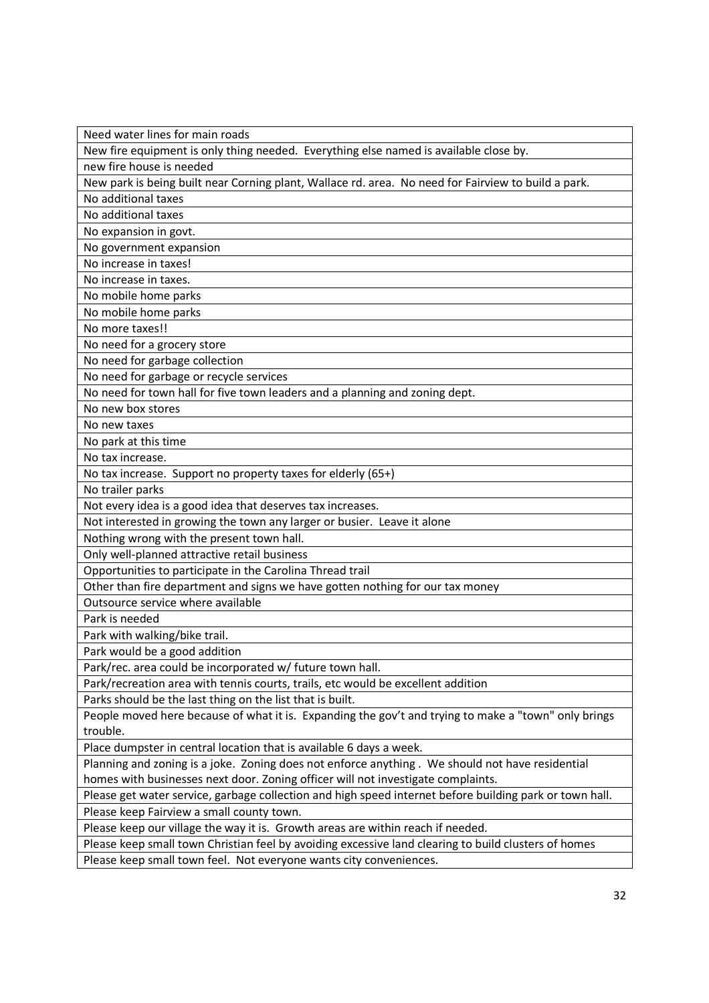| Need water lines for main roads                                                                         |
|---------------------------------------------------------------------------------------------------------|
| New fire equipment is only thing needed. Everything else named is available close by.                   |
| new fire house is needed                                                                                |
| New park is being built near Corning plant, Wallace rd. area. No need for Fairview to build a park.     |
| No additional taxes                                                                                     |
| No additional taxes                                                                                     |
| No expansion in govt.                                                                                   |
| No government expansion                                                                                 |
| No increase in taxes!                                                                                   |
| No increase in taxes.                                                                                   |
| No mobile home parks                                                                                    |
| No mobile home parks                                                                                    |
| No more taxes!!                                                                                         |
| No need for a grocery store                                                                             |
| No need for garbage collection                                                                          |
| No need for garbage or recycle services                                                                 |
| No need for town hall for five town leaders and a planning and zoning dept.                             |
| No new box stores                                                                                       |
| No new taxes                                                                                            |
| No park at this time                                                                                    |
| No tax increase.                                                                                        |
| No tax increase. Support no property taxes for elderly (65+)                                            |
| No trailer parks                                                                                        |
| Not every idea is a good idea that deserves tax increases.                                              |
| Not interested in growing the town any larger or busier. Leave it alone                                 |
| Nothing wrong with the present town hall.                                                               |
| Only well-planned attractive retail business                                                            |
| Opportunities to participate in the Carolina Thread trail                                               |
| Other than fire department and signs we have gotten nothing for our tax money                           |
| Outsource service where available                                                                       |
| Park is needed                                                                                          |
| Park with walking/bike trail.                                                                           |
| Park would be a good addition                                                                           |
| Park/rec. area could be incorporated w/ future town hall.                                               |
| Park/recreation area with tennis courts, trails, etc would be excellent addition                        |
| Parks should be the last thing on the list that is built.                                               |
| People moved here because of what it is. Expanding the gov't and trying to make a "town" only brings    |
| trouble.                                                                                                |
| Place dumpster in central location that is available 6 days a week.                                     |
| Planning and zoning is a joke. Zoning does not enforce anything. We should not have residential         |
| homes with businesses next door. Zoning officer will not investigate complaints.                        |
| Please get water service, garbage collection and high speed internet before building park or town hall. |
| Please keep Fairview a small county town.                                                               |
| Please keep our village the way it is. Growth areas are within reach if needed.                         |
| Please keep small town Christian feel by avoiding excessive land clearing to build clusters of homes    |
| Please keep small town feel. Not everyone wants city conveniences.                                      |
|                                                                                                         |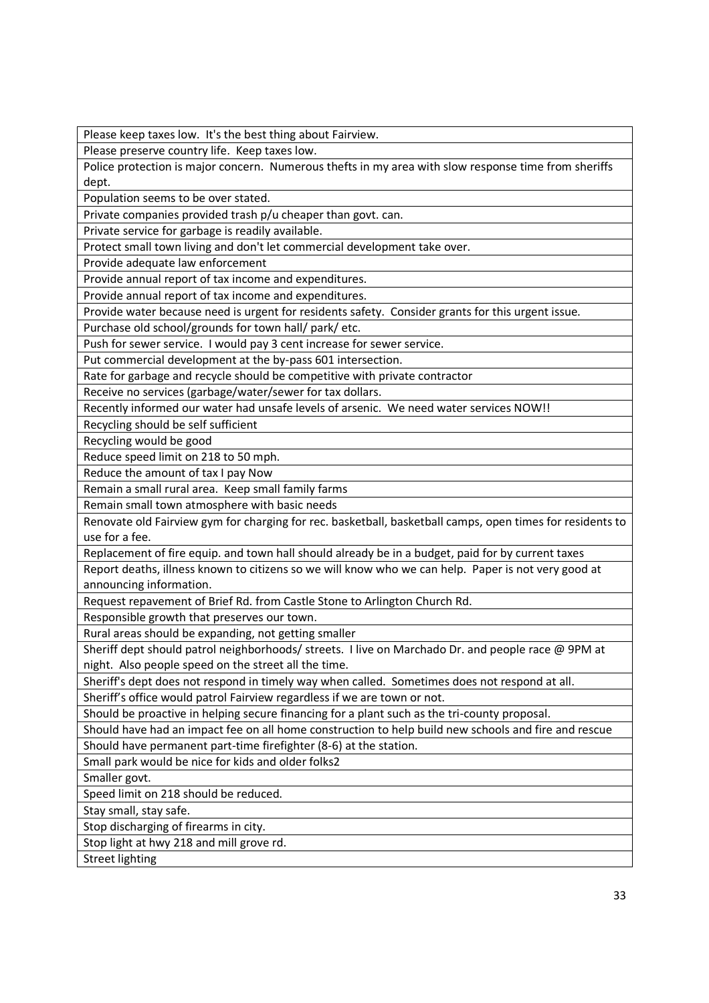Please keep taxes low. It's the best thing about Fairview.

Please preserve country life. Keep taxes low.

Police protection is major concern. Numerous thefts in my area with slow response time from sheriffs dept.

Population seems to be over stated.

Private companies provided trash p/u cheaper than govt. can.

Private service for garbage is readily available.

Protect small town living and don't let commercial development take over.

Provide adequate law enforcement

Provide annual report of tax income and expenditures.

Provide annual report of tax income and expenditures.

Provide water because need is urgent for residents safety. Consider grants for this urgent issue.

Purchase old school/grounds for town hall/ park/ etc.

Push for sewer service. I would pay 3 cent increase for sewer service.

Put commercial development at the by-pass 601 intersection.

Rate for garbage and recycle should be competitive with private contractor

Receive no services (garbage/water/sewer for tax dollars.

Recently informed our water had unsafe levels of arsenic. We need water services NOW!!

Recycling should be self sufficient

Recycling would be good

Reduce speed limit on 218 to 50 mph.

Reduce the amount of tax I pay Now

Remain a small rural area. Keep small family farms

Remain small town atmosphere with basic needs

Renovate old Fairview gym for charging for rec. basketball, basketball camps, open times for residents to use for a fee.

Replacement of fire equip. and town hall should already be in a budget, paid for by current taxes

Report deaths, illness known to citizens so we will know who we can help. Paper is not very good at announcing information.

Request repavement of Brief Rd. from Castle Stone to Arlington Church Rd.

Responsible growth that preserves our town.

Rural areas should be expanding, not getting smaller

Sheriff dept should patrol neighborhoods/ streets. I live on Marchado Dr. and people race @ 9PM at night. Also people speed on the street all the time.

Sheriff's dept does not respond in timely way when called. Sometimes does not respond at all.

Sheriff's office would patrol Fairview regardless if we are town or not.

Should be proactive in helping secure financing for a plant such as the tri-county proposal.

Should have had an impact fee on all home construction to help build new schools and fire and rescue

Should have permanent part-time firefighter (8-6) at the station.

Small park would be nice for kids and older folks2

Smaller govt.

Speed limit on 218 should be reduced.

Stay small, stay safe.

Stop discharging of firearms in city.

Stop light at hwy 218 and mill grove rd.

Street lighting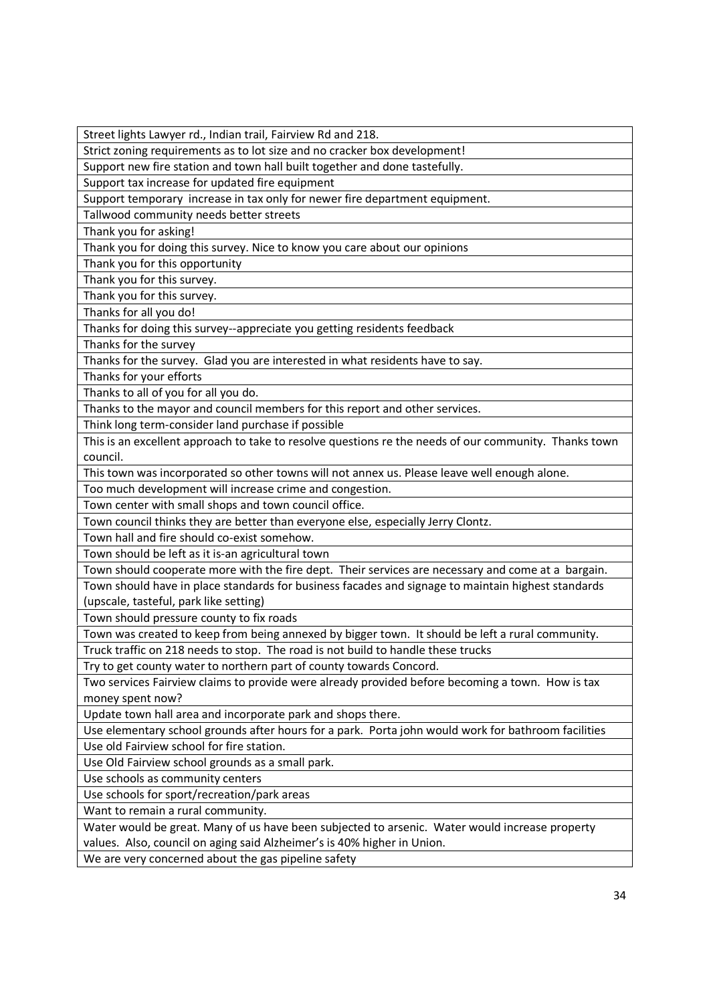Street lights Lawyer rd., Indian trail, Fairview Rd and 218.

Strict zoning requirements as to lot size and no cracker box development!

Support new fire station and town hall built together and done tastefully.

Support tax increase for updated fire equipment

Support temporary increase in tax only for newer fire department equipment.

Tallwood community needs better streets

Thank you for asking!

Thank you for doing this survey. Nice to know you care about our opinions

Thank you for this opportunity

Thank you for this survey.

Thank you for this survey.

Thanks for all you do!

Thanks for doing this survey--appreciate you getting residents feedback

Thanks for the survey

Thanks for the survey. Glad you are interested in what residents have to say.

Thanks for your efforts

Thanks to all of you for all you do.

Thanks to the mayor and council members for this report and other services.

Think long term-consider land purchase if possible

This is an excellent approach to take to resolve questions re the needs of our community. Thanks town council.

This town was incorporated so other towns will not annex us. Please leave well enough alone.

Too much development will increase crime and congestion.

Town center with small shops and town council office.

Town council thinks they are better than everyone else, especially Jerry Clontz.

Town hall and fire should co-exist somehow.

Town should be left as it is-an agricultural town

Town should cooperate more with the fire dept. Their services are necessary and come at a bargain. Town should have in place standards for business facades and signage to maintain highest standards

(upscale, tasteful, park like setting)

Town should pressure county to fix roads

Town was created to keep from being annexed by bigger town. It should be left a rural community.

Truck traffic on 218 needs to stop. The road is not build to handle these trucks

Try to get county water to northern part of county towards Concord.

Two services Fairview claims to provide were already provided before becoming a town. How is tax money spent now?

Update town hall area and incorporate park and shops there.

Use elementary school grounds after hours for a park. Porta john would work for bathroom facilities Use old Fairview school for fire station.

Use Old Fairview school grounds as a small park.

Use schools as community centers

Use schools for sport/recreation/park areas

Want to remain a rural community.

Water would be great. Many of us have been subjected to arsenic. Water would increase property values. Also, council on aging said Alzheimer's is 40% higher in Union.

We are very concerned about the gas pipeline safety